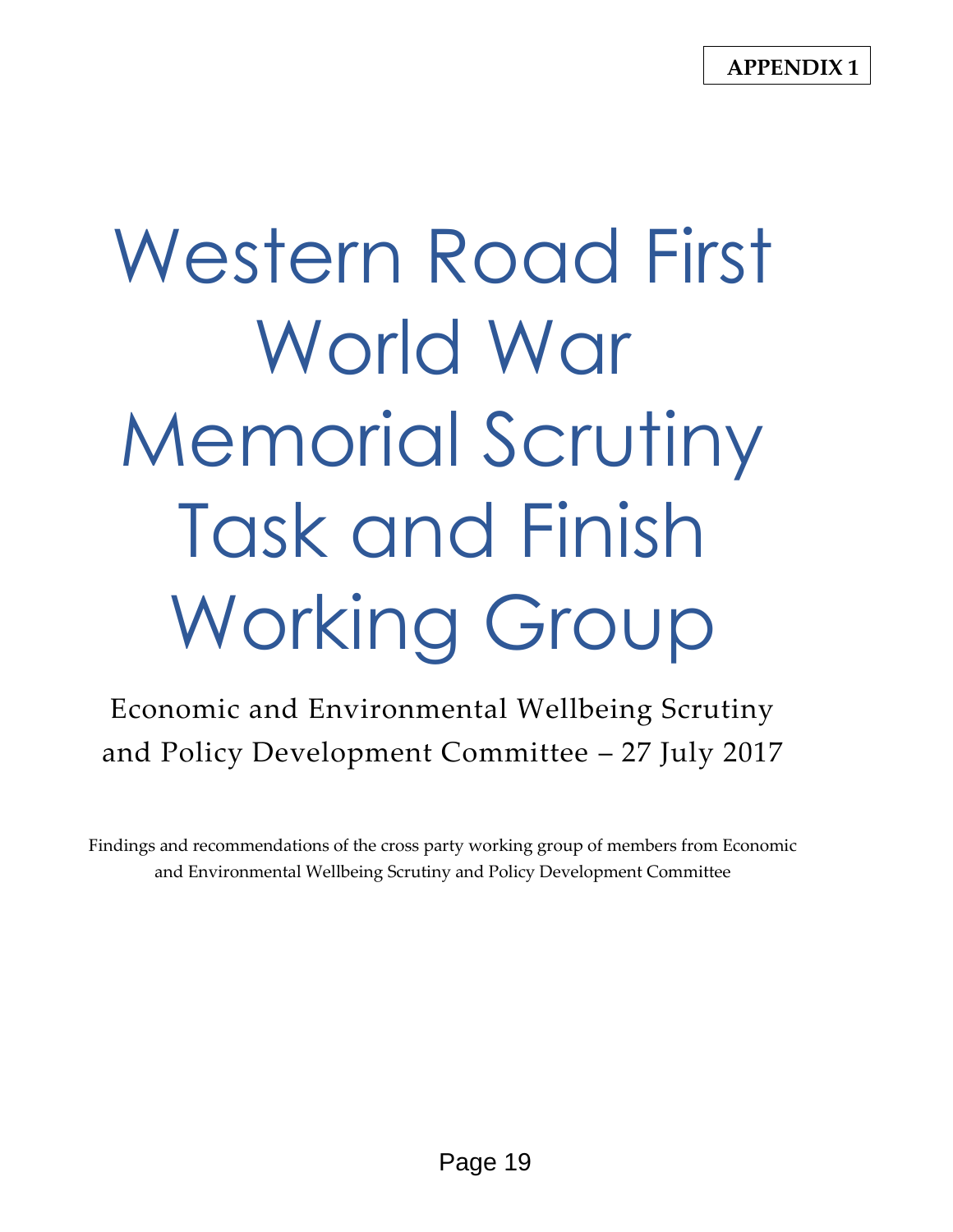**APPENDIX 1**

# Western Road First World War Memorial Scrutiny Task and Finish Working Group

Economic and Environmental Wellbeing Scrutiny and Policy Development Committee – 27 July 2017

Findings and recommendations of the cross party working group of members from Economic and Environmental Wellbeing Scrutiny and Policy Development Committee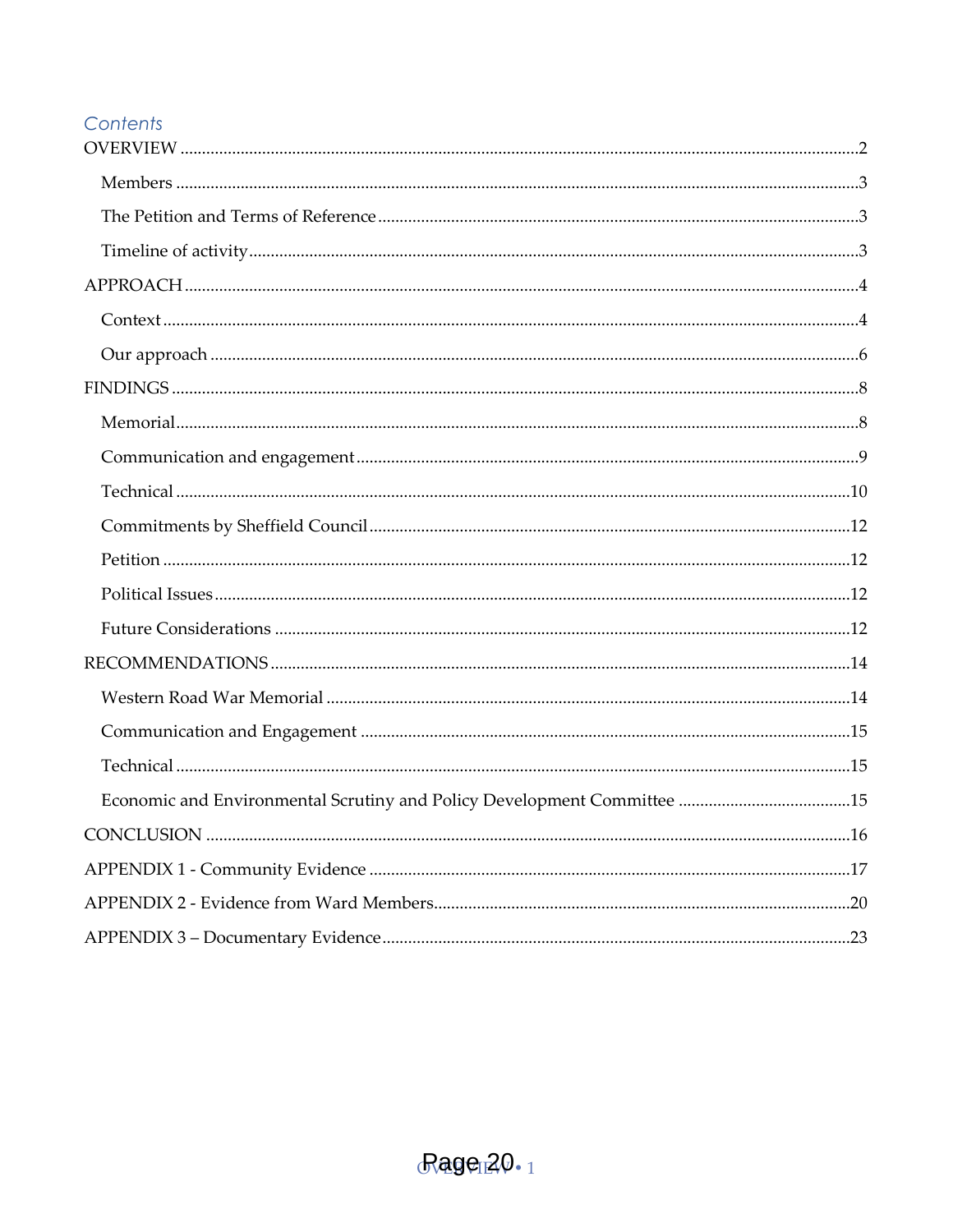#### Contents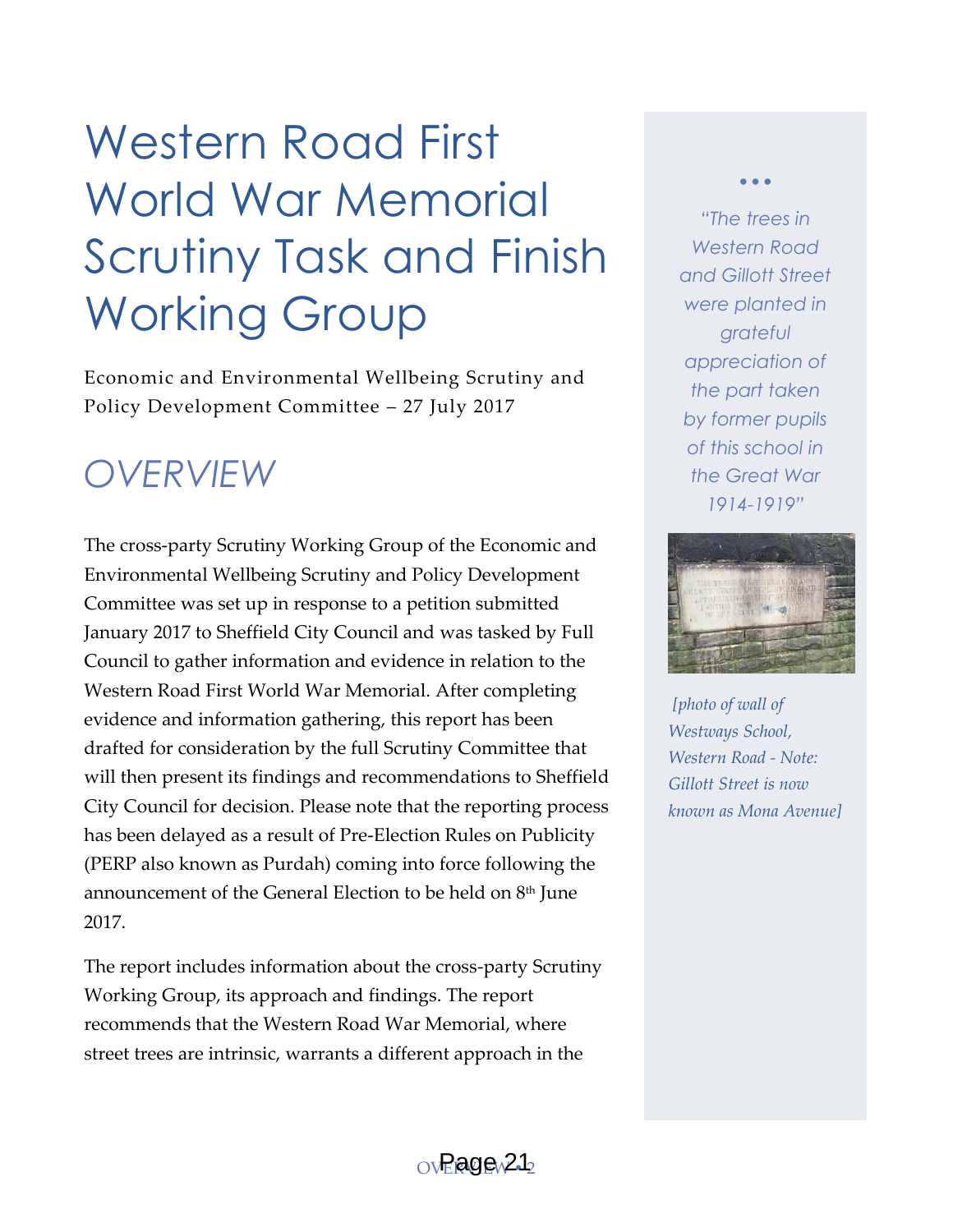# Western Road First World War Memorial Scrutiny Task and Finish Working Group

Economic and Environmental Wellbeing Scrutiny and Policy Development Committee – 27 July 2017

### <span id="page-2-0"></span>*OVERVIEW*

The cross-party Scrutiny Working Group of the Economic and Environmental Wellbeing Scrutiny and Policy Development Committee was set up in response to a petition submitted January 2017 to Sheffield City Council and was tasked by Full Council to gather information and evidence in relation to the Western Road First World War Memorial. After completing evidence and information gathering, this report has been drafted for consideration by the full Scrutiny Committee that will then present its findings and recommendations to Sheffield City Council for decision. Please note that the reporting process has been delayed as a result of Pre-Election Rules on Publicity (PERP also known as Purdah) coming into force following the announcement of the General Election to be held on  $8<sup>th</sup>$  June 2017.

The report includes information about the cross-party Scrutiny Working Group, its approach and findings. The report recommends that the Western Road War Memorial, where street trees are intrinsic, warrants a different approach in the

*"The trees in Western Road and Gillott Street were planted in grateful appreciation of the part taken by former pupils of this school in the Great War 1914-1919"* 

 $\bullet$   $\bullet$   $\bullet$ 



*[photo of wall of Westways School, Western Road - Note: Gillott Street is now known as Mona Avenue]*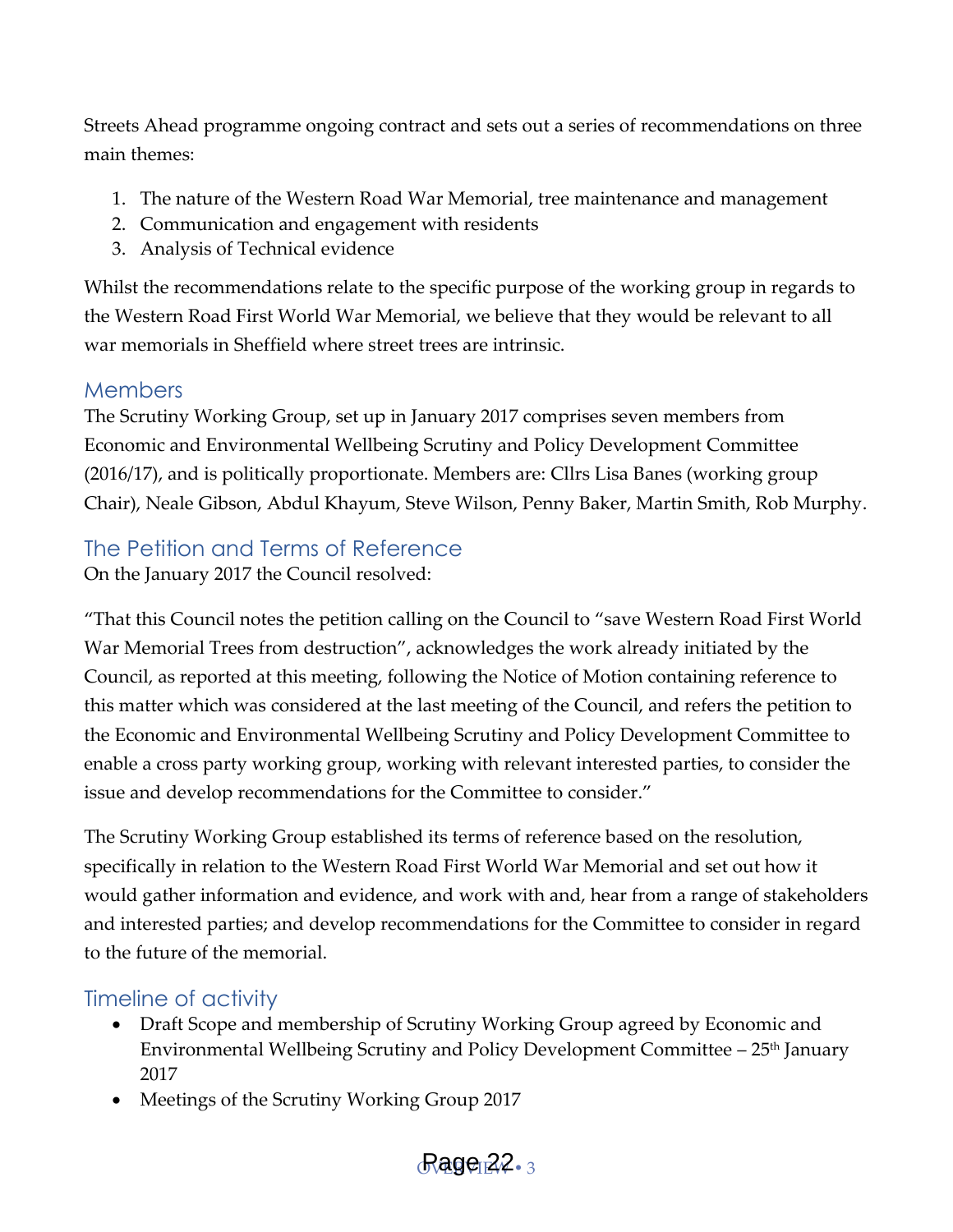Streets Ahead programme ongoing contract and sets out a series of recommendations on three main themes:

- 1. The nature of the Western Road War Memorial, tree maintenance and management
- 2. Communication and engagement with residents
- 3. Analysis of Technical evidence

Whilst the recommendations relate to the specific purpose of the working group in regards to the Western Road First World War Memorial, we believe that they would be relevant to all war memorials in Sheffield where street trees are intrinsic.

#### <span id="page-3-0"></span>**Members**

The Scrutiny Working Group, set up in January 2017 comprises seven members from Economic and Environmental Wellbeing Scrutiny and Policy Development Committee (2016/17), and is politically proportionate. Members are: Cllrs Lisa Banes (working group Chair), Neale Gibson, Abdul Khayum, Steve Wilson, Penny Baker, Martin Smith, Rob Murphy.

#### <span id="page-3-1"></span>The Petition and Terms of Reference

On the January 2017 the Council resolved:

'That this Council notes the petition calling on the Council to 'save Western Road First World War Memorial Trees from destruction', acknowledges the work already initiated by the Council, as reported at this meeting, following the Notice of Motion containing reference to this matter which was considered at the last meeting of the Council, and refers the petition to the Economic and Environmental Wellbeing Scrutiny and Policy Development Committee to enable a cross party working group, working with relevant interested parties, to consider the issue and develop recommendations for the Committee to consider.'

The Scrutiny Working Group established its terms of reference based on the resolution, specifically in relation to the Western Road First World War Memorial and set out how it would gather information and evidence, and work with and, hear from a range of stakeholders and interested parties; and develop recommendations for the Committee to consider in regard to the future of the memorial.

#### <span id="page-3-2"></span>Timeline of activity

- Draft Scope and membership of Scrutiny Working Group agreed by Economic and Environmental Wellbeing Scrutiny and Policy Development Committee – 25<sup>th</sup> January 2017
- Meetings of the Scrutiny Working Group 2017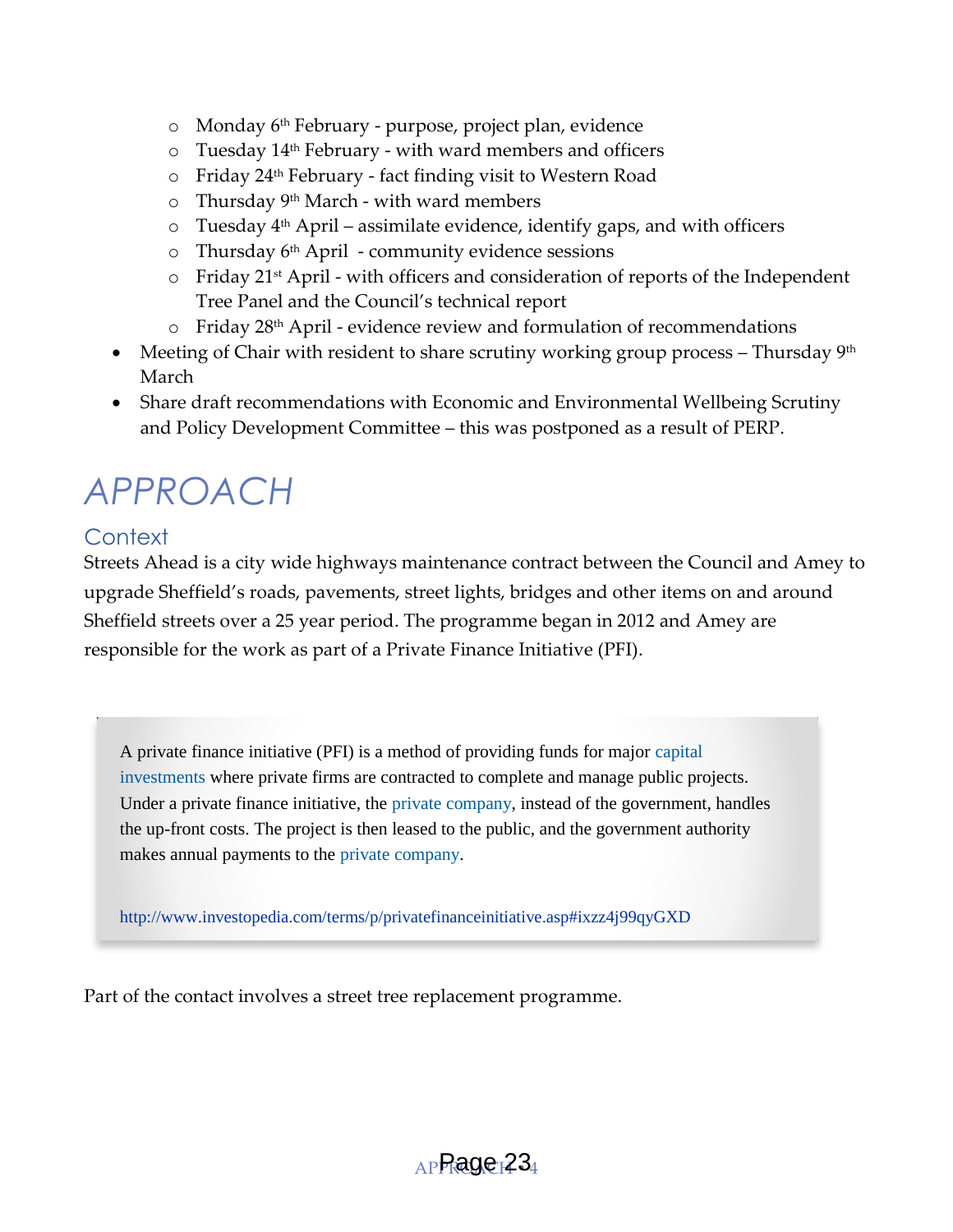- o Monday 6th February purpose, project plan, evidence
- $\circ$  Tuesday 14<sup>th</sup> February with ward members and officers
- o Friday 24<sup>th</sup> February fact finding visit to Western Road
- $\circ$  Thursday 9<sup>th</sup> March with ward members
- $\circ$  Tuesday 4<sup>th</sup> April assimilate evidence, identify gaps, and with officers
- $\circ$  Thursday 6<sup>th</sup> April community evidence sessions
- $\circ$  Friday 21<sup>st</sup> April with officers and consideration of reports of the Independent Tree Panel and the Council's technical report
- o Friday 28th April evidence review and formulation of recommendations
- Meeting of Chair with resident to share scrutiny working group process Thursday  $9<sup>th</sup>$ March
- Share draft recommendations with Economic and Environmental Wellbeing Scrutiny and Policy Development Committee – this was postponed as a result of PERP.

# <span id="page-4-0"></span>*APPROACH*

#### <span id="page-4-1"></span>**Context**

Streets Ahead is a city wide highways maintenance contract between the Council and Amey to upgrade Sheffield's roads, pavements, street lights, bridges and other items on and around Sheffield streets over a 25 year period. The programme began in 2012 and Amey are responsible for the work as part of a Private Finance Initiative (PFI).

A private finance initiative (PFI) is a method of providing funds for major [capital](http://www.investopedia.com/terms/c/capital-investment.asp)  [investments](http://www.investopedia.com/terms/c/capital-investment.asp) where private firms are contracted to complete and manage public projects. Under a private finance initiative, the [private company,](http://www.investopedia.com/video/play/private-sector/) instead of the government, handles the up-front costs. The project is then leased to the public, and the government authority makes annual payments to the [private company.](http://www.investopedia.com/terms/p/privatecompany.asp)

<http://www.investopedia.com/terms/p/privatefinanceinitiative.asp#ixzz4j99qyGXD>

Part of the contact involves a street tree replacement programme.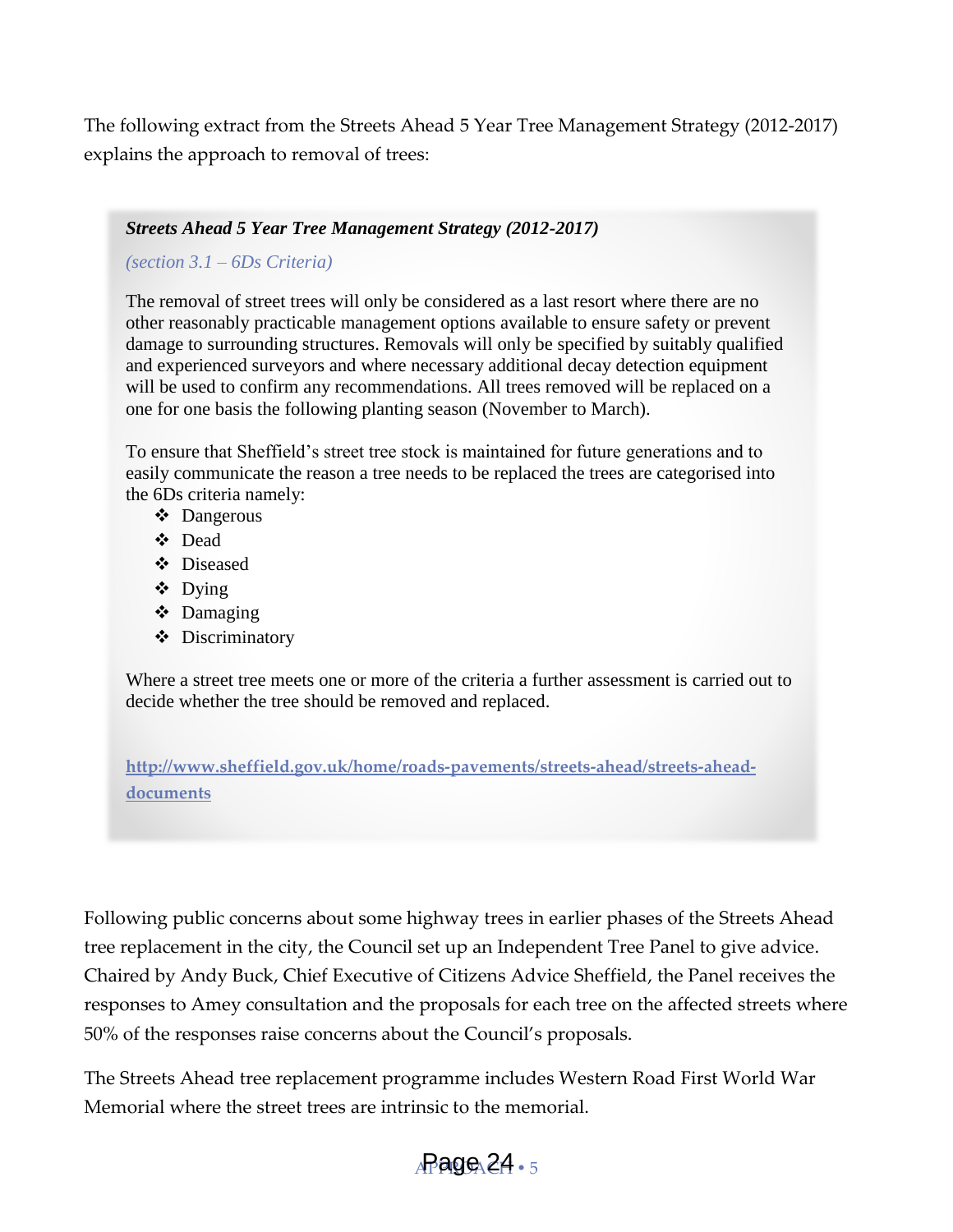The following extract from the Streets Ahead 5 Year Tree Management Strategy (2012-2017) explains the approach to removal of trees:

#### *Streets Ahead 5 Year Tree Management Strategy (2012-2017)*

#### *(section 3.1 – 6Ds Criteria)*

The removal of street trees will only be considered as a last resort where there are no other reasonably practicable management options available to ensure safety or prevent damage to surrounding structures. Removals will only be specified by suitably qualified and experienced surveyors and where necessary additional decay detection equipment will be used to confirm any recommendations. All trees removed will be replaced on a one for one basis the following planting season (November to March).

To ensure that Sheffield's street tree stock is maintained for future generations and to easily communicate the reason a tree needs to be replaced the trees are categorised into the 6Ds criteria namely:

- Dangerous
- Dead
- Diseased
- Dying
- Damaging
- ❖ Discriminatory

Where a street tree meets one or more of the criteria a further assessment is carried out to decide whether the tree should be removed and replaced.

**[http://www.sheffield.gov.uk/home/roads-pavements/streets-ahead/streets-ahead](http://www.sheffield.gov.uk/home/roads-pavements/streets-ahead/streets-ahead-documents)[documents](http://www.sheffield.gov.uk/home/roads-pavements/streets-ahead/streets-ahead-documents)** 

Following public concerns about some highway trees in earlier phases of the Streets Ahead tree replacement in the city, the Council set up an Independent Tree Panel to give advice. Chaired by Andy Buck, Chief Executive of Citizens Advice Sheffield, the Panel receives the responses to Amey consultation and the proposals for each tree on the affected streets where 50% of the responses raise concerns about the Council's proposals.

The Streets Ahead tree replacement programme includes Western Road First World War Memorial where the street trees are intrinsic to the memorial.

#### $_{\rm A}\rm P$ age $_{\rm A}$ 24  $_{\rm \circ}$   $_{\rm 5}$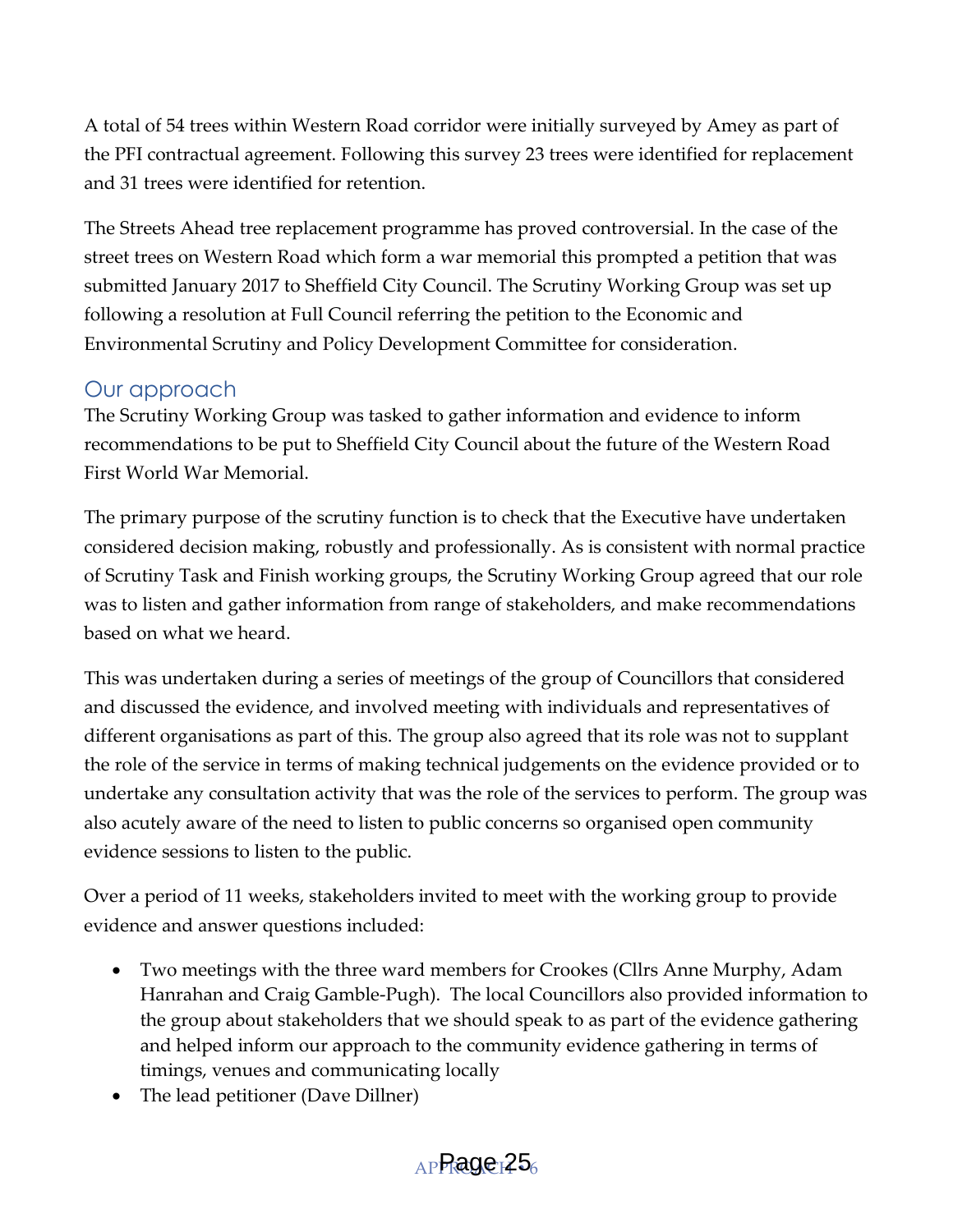A total of 54 trees within Western Road corridor were initially surveyed by Amey as part of the PFI contractual agreement. Following this survey 23 trees were identified for replacement and 31 trees were identified for retention.

The Streets Ahead tree replacement programme has proved controversial. In the case of the street trees on Western Road which form a war memorial this prompted a petition that was submitted January 2017 to Sheffield City Council. The Scrutiny Working Group was set up following a resolution at Full Council referring the petition to the Economic and Environmental Scrutiny and Policy Development Committee for consideration.

#### <span id="page-6-0"></span>Our approach

The Scrutiny Working Group was tasked to gather information and evidence to inform recommendations to be put to Sheffield City Council about the future of the Western Road First World War Memorial.

The primary purpose of the scrutiny function is to check that the Executive have undertaken considered decision making, robustly and professionally. As is consistent with normal practice of Scrutiny Task and Finish working groups, the Scrutiny Working Group agreed that our role was to listen and gather information from range of stakeholders, and make recommendations based on what we heard.

This was undertaken during a series of meetings of the group of Councillors that considered and discussed the evidence, and involved meeting with individuals and representatives of different organisations as part of this. The group also agreed that its role was not to supplant the role of the service in terms of making technical judgements on the evidence provided or to undertake any consultation activity that was the role of the services to perform. The group was also acutely aware of the need to listen to public concerns so organised open community evidence sessions to listen to the public.

Over a period of 11 weeks, stakeholders invited to meet with the working group to provide evidence and answer questions included:

- Two meetings with the three ward members for Crookes (Cllrs Anne Murphy, Adam Hanrahan and Craig Gamble-Pugh). The local Councillors also provided information to the group about stakeholders that we should speak to as part of the evidence gathering and helped inform our approach to the community evidence gathering in terms of timings, venues and communicating locally
- The lead petitioner (Dave Dillner)

#### $AP$  Page  $25_6$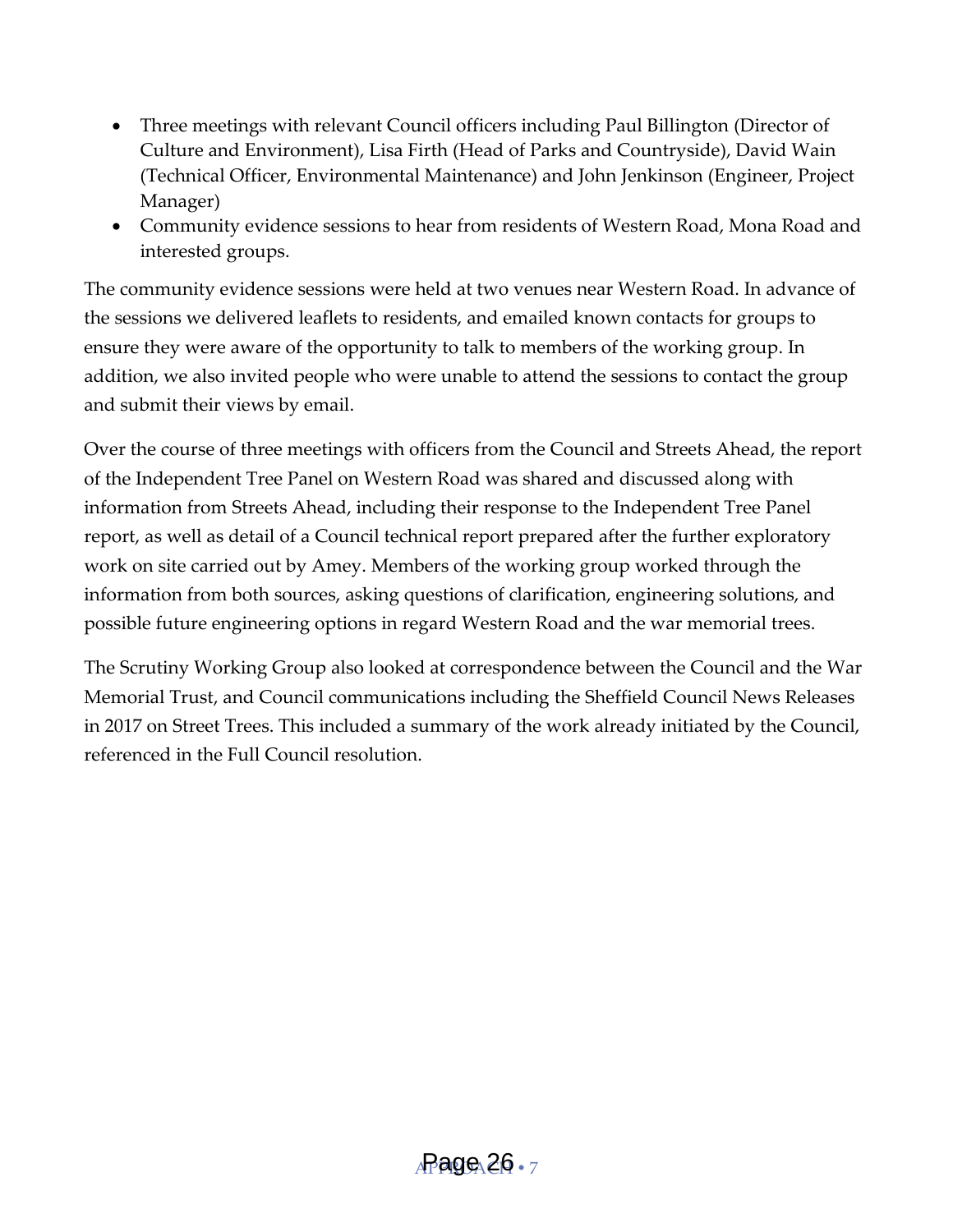- Three meetings with relevant Council officers including Paul Billington (Director of Culture and Environment), Lisa Firth (Head of Parks and Countryside), David Wain (Technical Officer, Environmental Maintenance) and John Jenkinson (Engineer, Project Manager)
- Community evidence sessions to hear from residents of Western Road, Mona Road and interested groups.

The community evidence sessions were held at two venues near Western Road. In advance of the sessions we delivered leaflets to residents, and emailed known contacts for groups to ensure they were aware of the opportunity to talk to members of the working group. In addition, we also invited people who were unable to attend the sessions to contact the group and submit their views by email.

Over the course of three meetings with officers from the Council and Streets Ahead, the report of the Independent Tree Panel on Western Road was shared and discussed along with information from Streets Ahead, including their response to the Independent Tree Panel report, as well as detail of a Council technical report prepared after the further exploratory work on site carried out by Amey. Members of the working group worked through the information from both sources, asking questions of clarification, engineering solutions, and possible future engineering options in regard Western Road and the war memorial trees.

The Scrutiny Working Group also looked at correspondence between the Council and the War Memorial Trust, and Council communications including the Sheffield Council News Releases in 2017 on Street Trees. This included a summary of the work already initiated by the Council, referenced in the Full Council resolution.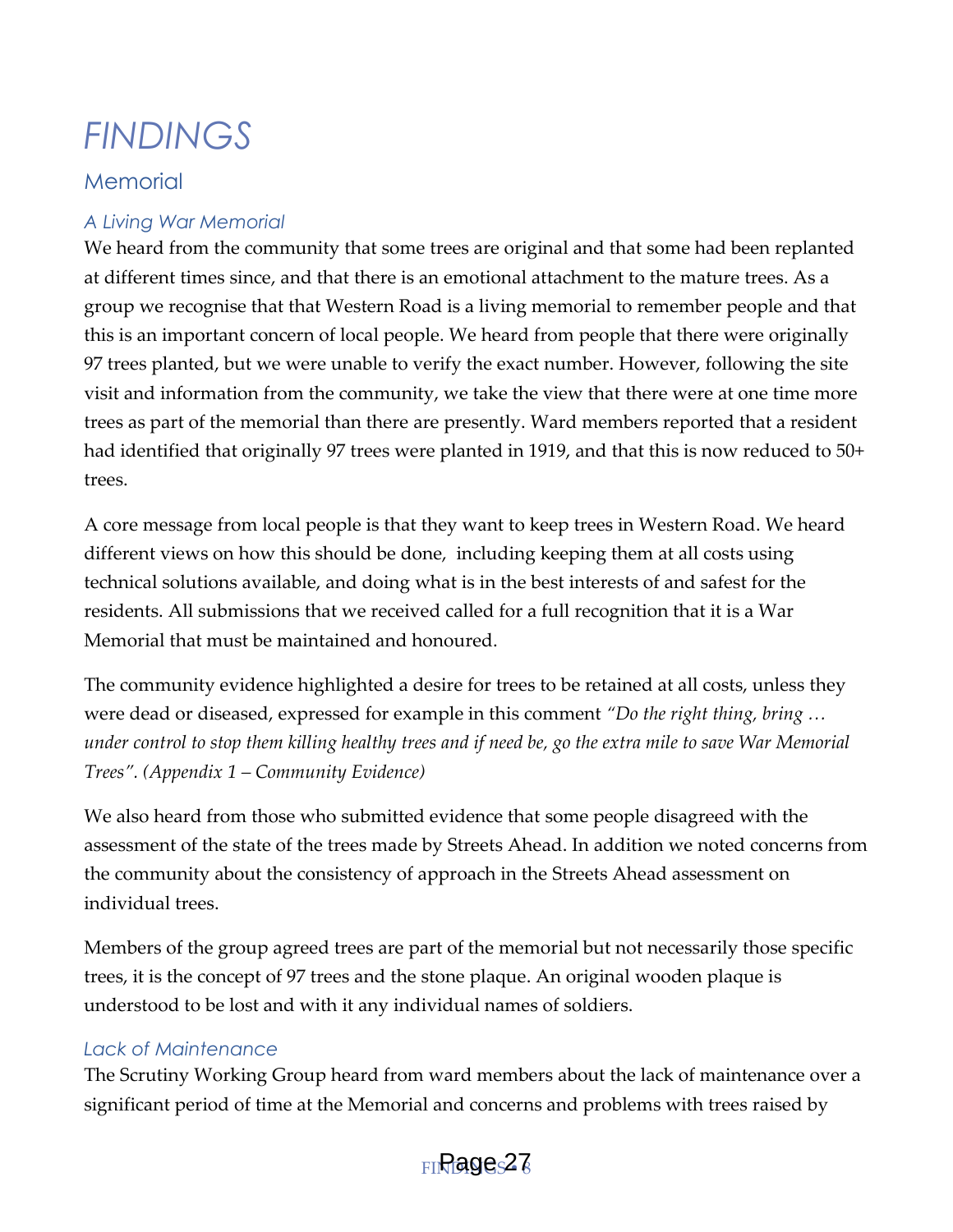## <span id="page-8-0"></span>*FINDINGS*

#### <span id="page-8-1"></span>**Memorial**

#### *A Living War Memorial*

We heard from the community that some trees are original and that some had been replanted at different times since, and that there is an emotional attachment to the mature trees. As a group we recognise that that Western Road is a living memorial to remember people and that this is an important concern of local people. We heard from people that there were originally 97 trees planted, but we were unable to verify the exact number. However, following the site visit and information from the community, we take the view that there were at one time more trees as part of the memorial than there are presently. Ward members reported that a resident had identified that originally 97 trees were planted in 1919, and that this is now reduced to 50+ trees.

A core message from local people is that they want to keep trees in Western Road. We heard different views on how this should be done, including keeping them at all costs using technical solutions available, and doing what is in the best interests of and safest for the residents. All submissions that we received called for a full recognition that it is a War Memorial that must be maintained and honoured.

The community evidence highlighted a desire for trees to be retained at all costs, unless they were dead or diseased, expressed for example in this comment *'Do the right thing, bring … under control to stop them killing healthy trees and if need be, go the extra mile to save War Memorial Trees'. (Appendix 1 – Community Evidence)*

We also heard from those who submitted evidence that some people disagreed with the assessment of the state of the trees made by Streets Ahead. In addition we noted concerns from the community about the consistency of approach in the Streets Ahead assessment on individual trees.

Members of the group agreed trees are part of the memorial but not necessarily those specific trees, it is the concept of 97 trees and the stone plaque. An original wooden plaque is understood to be lost and with it any individual names of soldiers.

#### *Lack of Maintenance*

The Scrutiny Working Group heard from ward members about the lack of maintenance over a significant period of time at the Memorial and concerns and problems with trees raised by

#### $_{\rm FI}$ Rage $\rm s$ 27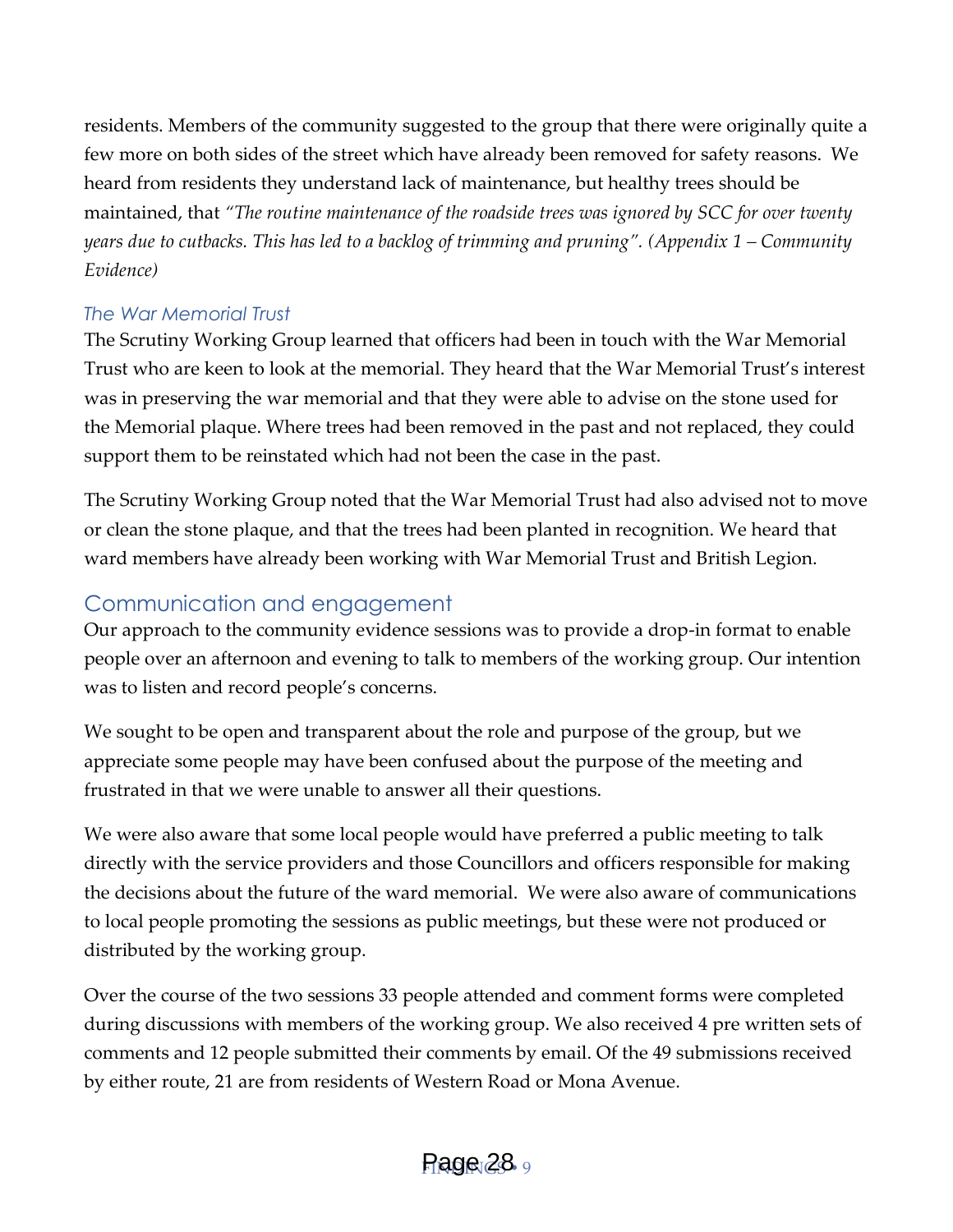residents. Members of the community suggested to the group that there were originally quite a few more on both sides of the street which have already been removed for safety reasons. We heard from residents they understand lack of maintenance, but healthy trees should be maintained, that *'The routine maintenance of the roadside trees was ignored by SCC for over twenty years due to cutbacks. This has led to a backlog of trimming and pruning'. (Appendix 1 – Community Evidence)*

#### *The War Memorial Trust*

The Scrutiny Working Group learned that officers had been in touch with the War Memorial Trust who are keen to look at the memorial. They heard that the War Memorial Trust's interest was in preserving the war memorial and that they were able to advise on the stone used for the Memorial plaque. Where trees had been removed in the past and not replaced, they could support them to be reinstated which had not been the case in the past.

The Scrutiny Working Group noted that the War Memorial Trust had also advised not to move or clean the stone plaque, and that the trees had been planted in recognition. We heard that ward members have already been working with War Memorial Trust and British Legion.

#### <span id="page-9-0"></span>Communication and engagement

Our approach to the community evidence sessions was to provide a drop-in format to enable people over an afternoon and evening to talk to members of the working group. Our intention was to listen and record people's concerns.

We sought to be open and transparent about the role and purpose of the group, but we appreciate some people may have been confused about the purpose of the meeting and frustrated in that we were unable to answer all their questions.

We were also aware that some local people would have preferred a public meeting to talk directly with the service providers and those Councillors and officers responsible for making the decisions about the future of the ward memorial. We were also aware of communications to local people promoting the sessions as public meetings, but these were not produced or distributed by the working group.

Over the course of the two sessions 33 people attended and comment forms were completed during discussions with members of the working group. We also received 4 pre written sets of comments and 12 people submitted their comments by email. Of the 49 submissions received by either route, 21 are from residents of Western Road or Mona Avenue.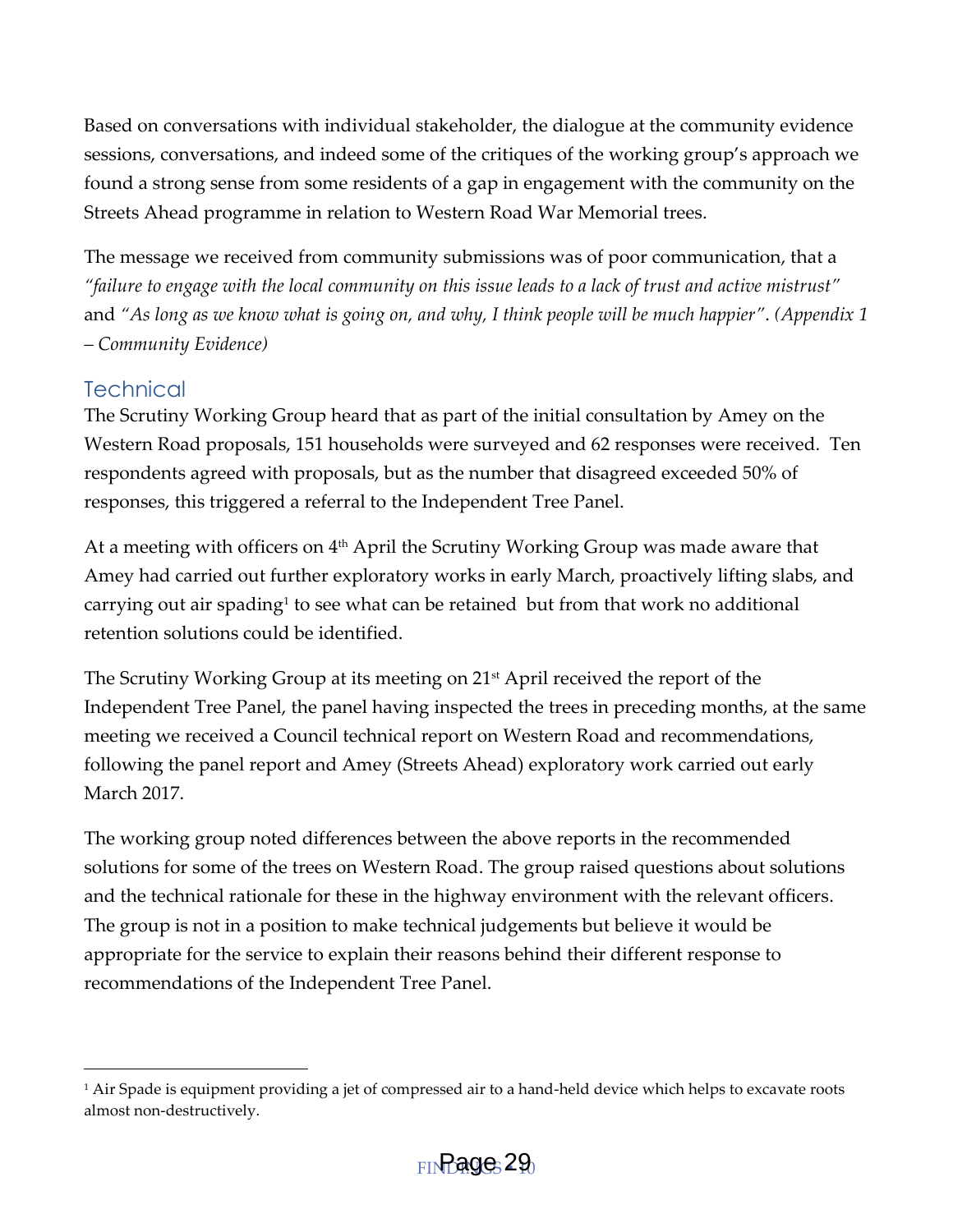Based on conversations with individual stakeholder, the dialogue at the community evidence sessions, conversations, and indeed some of the critiques of the working group's approach we found a strong sense from some residents of a gap in engagement with the community on the Streets Ahead programme in relation to Western Road War Memorial trees.

The message we received from community submissions was of poor communication, that a *'failure to engage with the local community on this issue leads to a lack of trust and active mistrust'* and *'As long as we know what is going on, and why, I think people will be much happier'*. *(Appendix 1 – Community Evidence)*

#### <span id="page-10-0"></span>**Technical**

1

The Scrutiny Working Group heard that as part of the initial consultation by Amey on the Western Road proposals, 151 households were surveyed and 62 responses were received. Ten respondents agreed with proposals, but as the number that disagreed exceeded 50% of responses, this triggered a referral to the Independent Tree Panel.

At a meeting with officers on 4<sup>th</sup> April the Scrutiny Working Group was made aware that Amey had carried out further exploratory works in early March, proactively lifting slabs, and carrying out air spading<sup>1</sup> to see what can be retained but from that work no additional retention solutions could be identified.

The Scrutiny Working Group at its meeting on 21<sup>st</sup> April received the report of the Independent Tree Panel, the panel having inspected the trees in preceding months, at the same meeting we received a Council technical report on Western Road and recommendations, following the panel report and Amey (Streets Ahead) exploratory work carried out early March 2017.

The working group noted differences between the above reports in the recommended solutions for some of the trees on Western Road. The group raised questions about solutions and the technical rationale for these in the highway environment with the relevant officers. The group is not in a position to make technical judgements but believe it would be appropriate for the service to explain their reasons behind their different response to recommendations of the Independent Tree Panel.

<sup>1</sup> Air Spade is equipment providing a jet of compressed air to a hand-held device which helps to excavate roots almost non-destructively.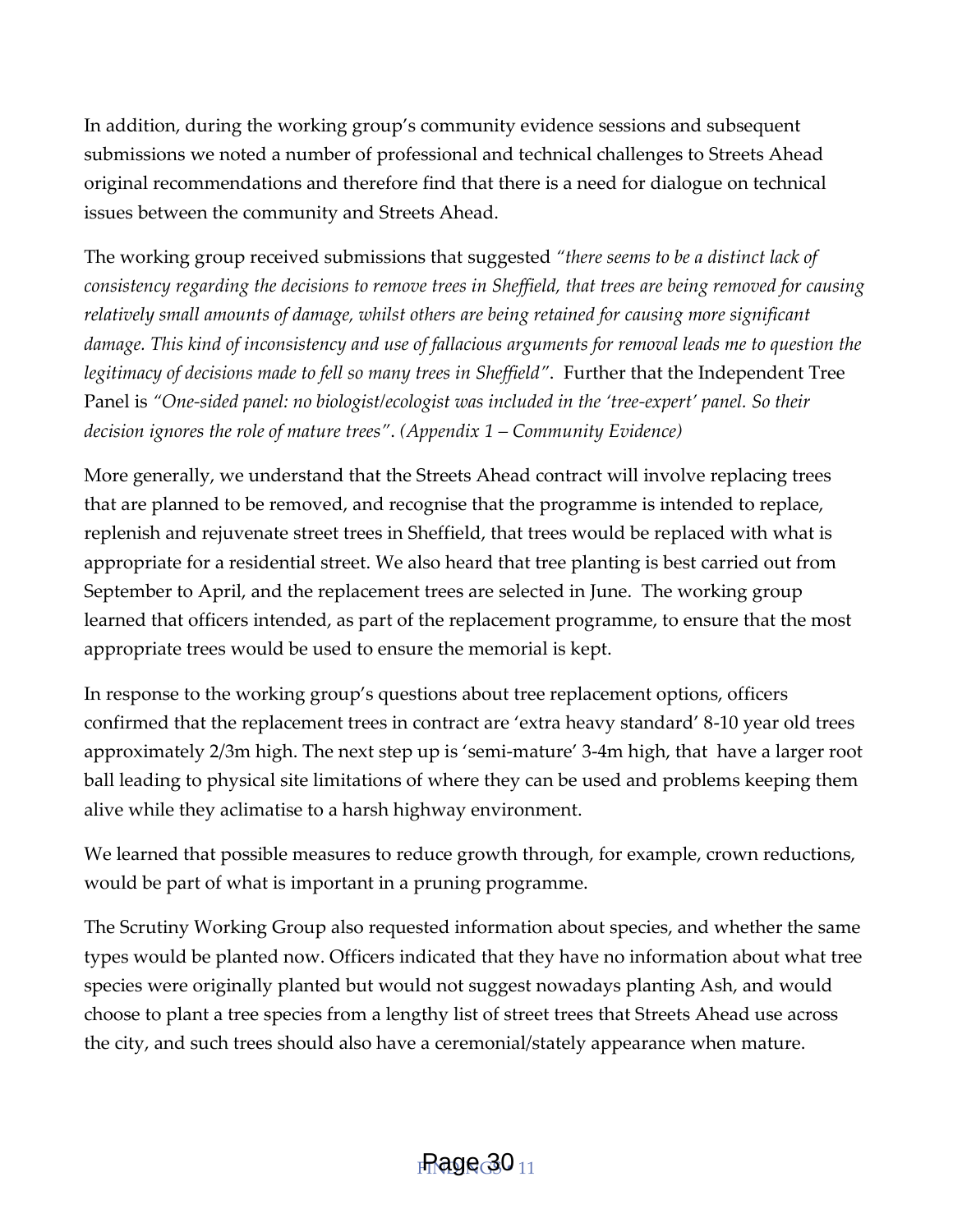In addition, during the working group's community evidence sessions and subsequent submissions we noted a number of professional and technical challenges to Streets Ahead original recommendations and therefore find that there is a need for dialogue on technical issues between the community and Streets Ahead.

The working group received submissions that suggested *'there seems to be a distinct lack of consistency regarding the decisions to remove trees in Sheffield, that trees are being removed for causing relatively small amounts of damage, whilst others are being retained for causing more significant damage. This kind of inconsistency and use of fallacious arguments for removal leads me to question the legitimacy of decisions made to fell so many trees in Sheffield'*. Further that the Independent Tree Panel is *'One-sided panel: no biologist/ecologist was included in the 'tree-expert' panel. So their decision ignores the role of mature trees'*. *(Appendix 1 – Community Evidence)*

More generally, we understand that the Streets Ahead contract will involve replacing trees that are planned to be removed, and recognise that the programme is intended to replace, replenish and rejuvenate street trees in Sheffield, that trees would be replaced with what is appropriate for a residential street. We also heard that tree planting is best carried out from September to April, and the replacement trees are selected in June. The working group learned that officers intended, as part of the replacement programme, to ensure that the most appropriate trees would be used to ensure the memorial is kept.

In response to the working group's questions about tree replacement options, officers confirmed that the replacement trees in contract are 'extra heavy standard' 8-10 year old trees approximately 2/3m high. The next step up is 'semi-mature' 3-4m high, that have a larger root ball leading to physical site limitations of where they can be used and problems keeping them alive while they aclimatise to a harsh highway environment.

We learned that possible measures to reduce growth through, for example, crown reductions, would be part of what is important in a pruning programme.

The Scrutiny Working Group also requested information about species, and whether the same types would be planted now. Officers indicated that they have no information about what tree species were originally planted but would not suggest nowadays planting Ash, and would choose to plant a tree species from a lengthy list of street trees that Streets Ahead use across the city, and such trees should also have a ceremonial/stately appearance when mature.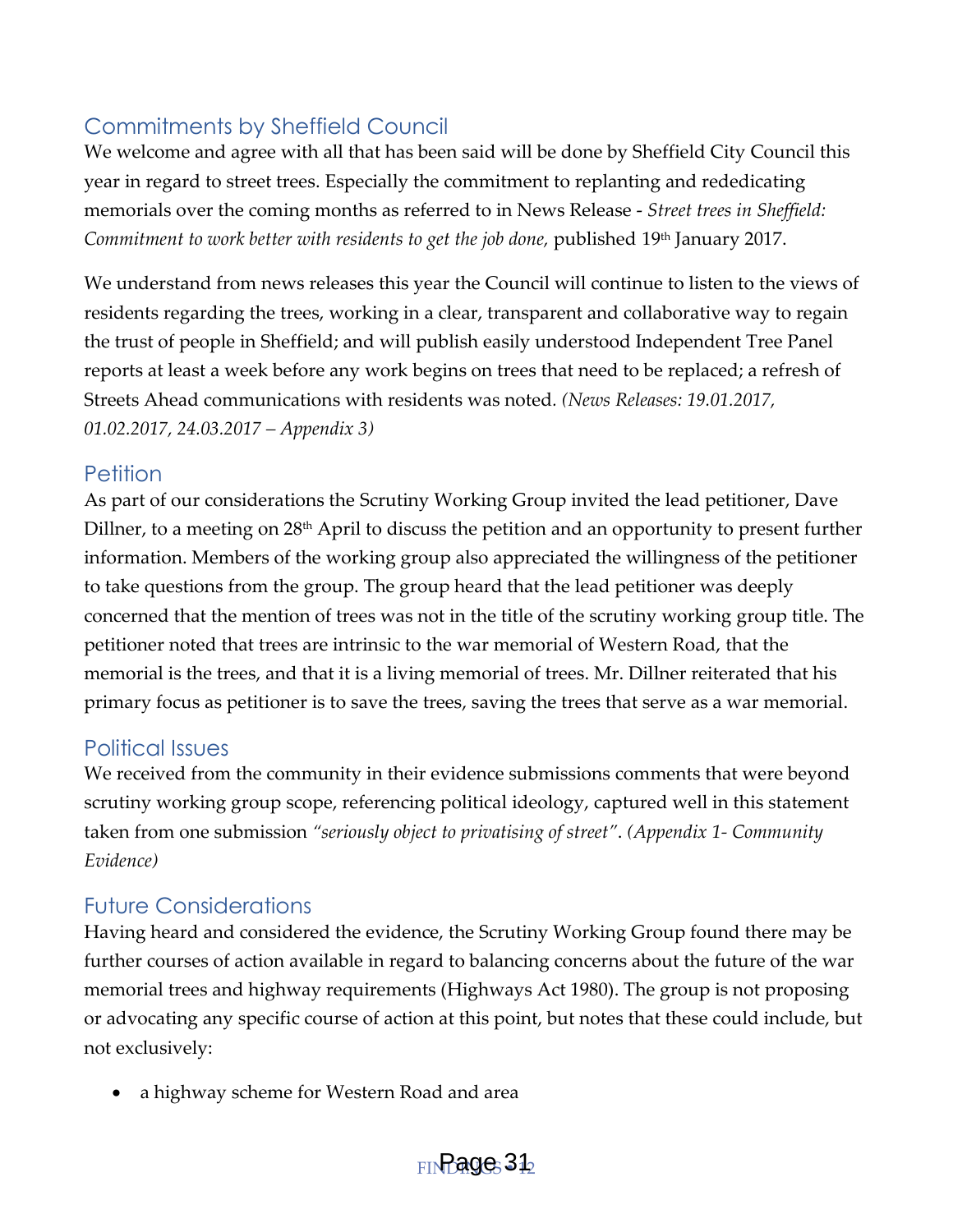#### <span id="page-12-0"></span>Commitments by Sheffield Council

We welcome and agree with all that has been said will be done by Sheffield City Council this year in regard to street trees. Especially the commitment to replanting and rededicating memorials over the coming months as referred to in News Release - *Street trees in Sheffield: Commitment to work better with residents to get the job done,* published 19th January 2017.

We understand from news releases this year the Council will continue to listen to the views of residents regarding the trees, working in a clear, transparent and collaborative way to regain the trust of people in Sheffield; and will publish easily understood Independent Tree Panel reports at least a week before any work begins on trees that need to be replaced; a refresh of Streets Ahead communications with residents was noted*. (News Releases: 19.01.2017, 01.02.2017, 24.03.2017 – Appendix 3)*

#### <span id="page-12-1"></span>Petition

As part of our considerations the Scrutiny Working Group invited the lead petitioner, Dave Dillner, to a meeting on 28<sup>th</sup> April to discuss the petition and an opportunity to present further information. Members of the working group also appreciated the willingness of the petitioner to take questions from the group. The group heard that the lead petitioner was deeply concerned that the mention of trees was not in the title of the scrutiny working group title. The petitioner noted that trees are intrinsic to the war memorial of Western Road, that the memorial is the trees, and that it is a living memorial of trees. Mr. Dillner reiterated that his primary focus as petitioner is to save the trees, saving the trees that serve as a war memorial.

#### <span id="page-12-2"></span>Political Issues

We received from the community in their evidence submissions comments that were beyond scrutiny working group scope, referencing political ideology, captured well in this statement taken from one submission *'seriously object to privatising of street'*. *(Appendix 1- Community Evidence)*

#### <span id="page-12-3"></span>Future Considerations

Having heard and considered the evidence, the Scrutiny Working Group found there may be further courses of action available in regard to balancing concerns about the future of the war memorial trees and highway requirements (Highways Act 1980). The group is not proposing or advocating any specific course of action at this point, but notes that these could include, but not exclusively:

• a highway scheme for Western Road and area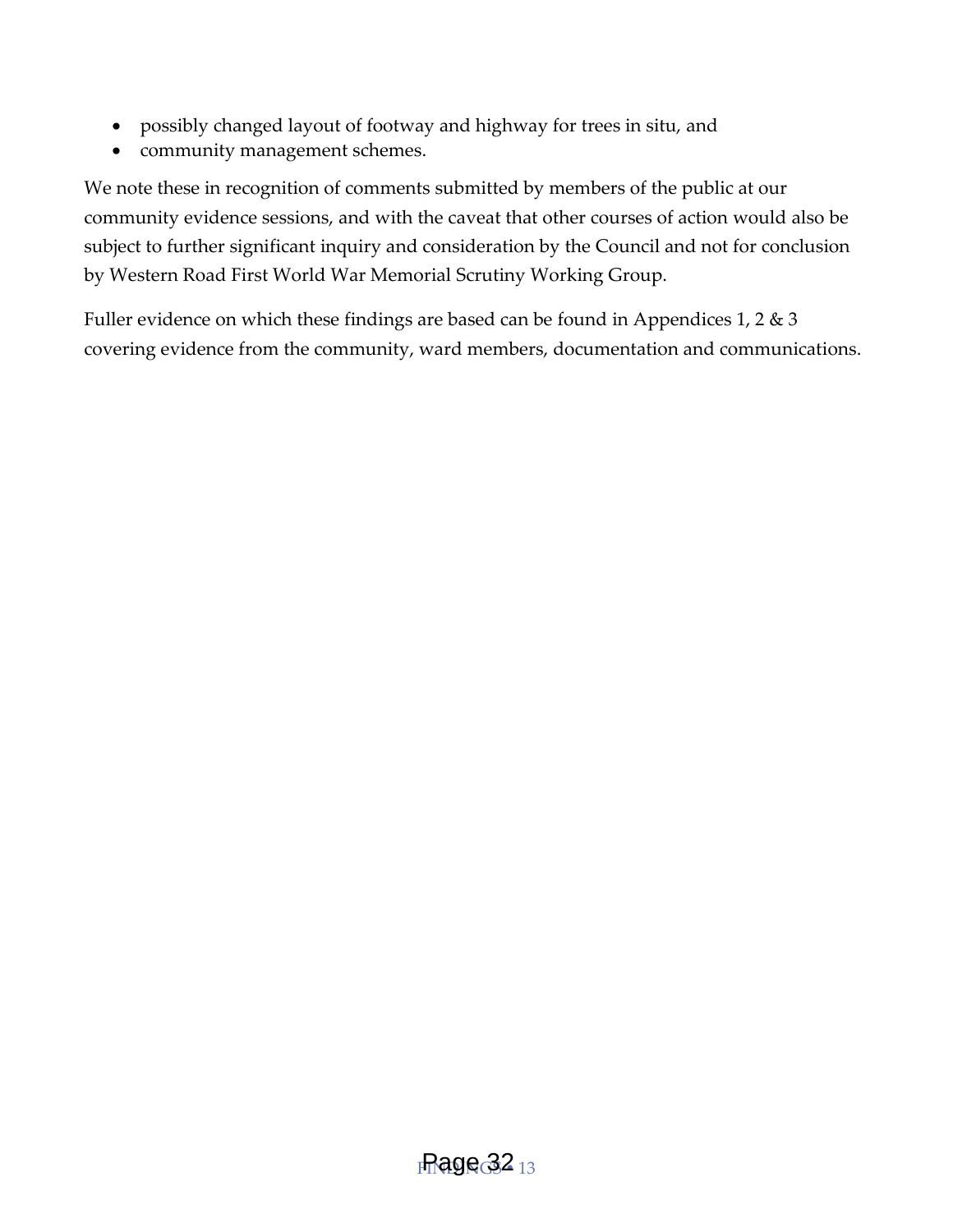- possibly changed layout of footway and highway for trees in situ, and
- community management schemes.

We note these in recognition of comments submitted by members of the public at our community evidence sessions, and with the caveat that other courses of action would also be subject to further significant inquiry and consideration by the Council and not for conclusion by Western Road First World War Memorial Scrutiny Working Group.

Fuller evidence on which these findings are based can be found in Appendices 1, 2 & 3 covering evidence from the community, ward members, documentation and communications.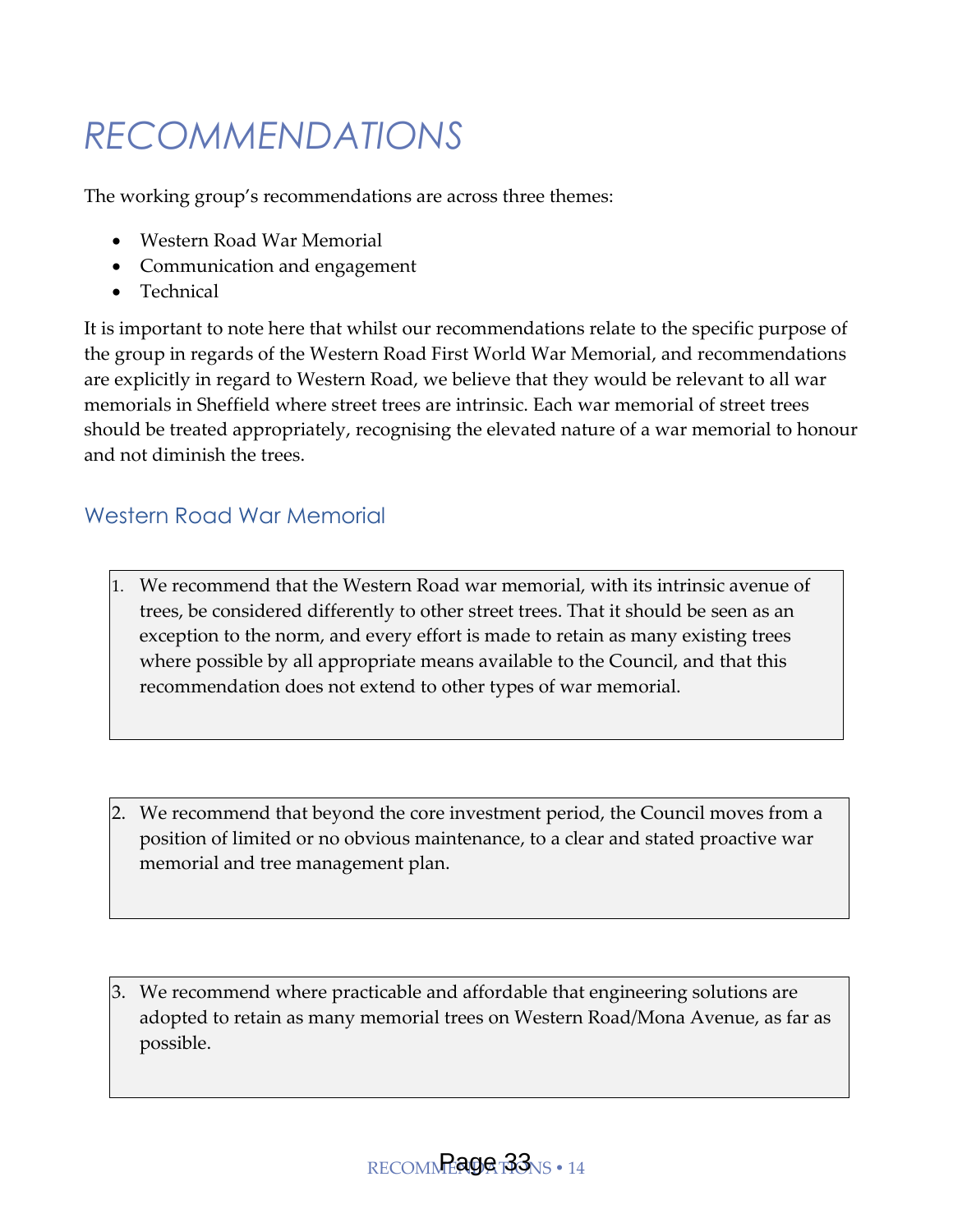# <span id="page-14-0"></span>*RECOMMENDATIONS*

The working group's recommendations are across three themes:

- Western Road War Memorial
- Communication and engagement
- Technical

It is important to note here that whilst our recommendations relate to the specific purpose of the group in regards of the Western Road First World War Memorial, and recommendations are explicitly in regard to Western Road, we believe that they would be relevant to all war memorials in Sheffield where street trees are intrinsic. Each war memorial of street trees should be treated appropriately, recognising the elevated nature of a war memorial to honour and not diminish the trees.

#### <span id="page-14-1"></span>Western Road War Memorial

- 1. We recommend that the Western Road war memorial, with its intrinsic avenue of trees, be considered differently to other street trees. That it should be seen as an exception to the norm, and every effort is made to retain as many existing trees where possible by all appropriate means available to the Council, and that this recommendation does not extend to other types of war memorial.
- 2. We recommend that beyond the core investment period, the Council moves from a position of limited or no obvious maintenance, to a clear and stated proactive war memorial and tree management plan.
- 3. We recommend where practicable and affordable that engineering solutions are adopted to retain as many memorial trees on Western Road/Mona Avenue, as far as possible.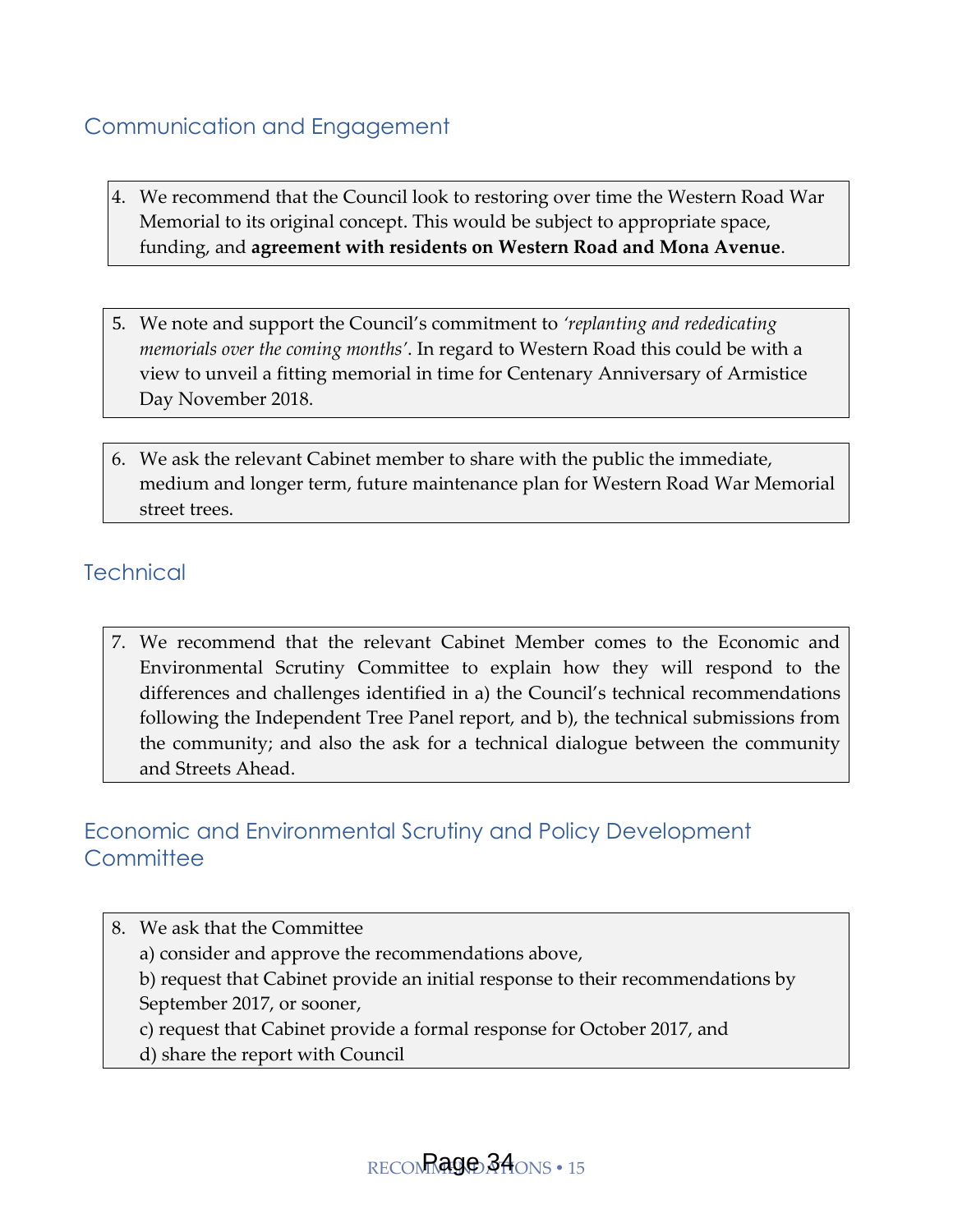#### <span id="page-15-0"></span>Communication and Engagement

- 4. We recommend that the Council look to restoring over time the Western Road War Memorial to its original concept. This would be subject to appropriate space, funding, and **agreement with residents on Western Road and Mona Avenue**.
- 5. We note and support the Council's commitment to *'replanting and rededicating memorials over the coming months'*. In regard to Western Road this could be with a view to unveil a fitting memorial in time for Centenary Anniversary of Armistice Day November 2018.
- 6. We ask the relevant Cabinet member to share with the public the immediate, medium and longer term, future maintenance plan for Western Road War Memorial street trees.

#### <span id="page-15-1"></span>**Technical**

7. We recommend that the relevant Cabinet Member comes to the Economic and Environmental Scrutiny Committee to explain how they will respond to the differences and challenges identified in a) the Council's technical recommendations following the Independent Tree Panel report, and b), the technical submissions from the community; and also the ask for a technical dialogue between the community and Streets Ahead.

#### <span id="page-15-2"></span>Economic and Environmental Scrutiny and Policy Development **Committee**

8. We ask that the Committee a) consider and approve the recommendations above, b) request that Cabinet provide an initial response to their recommendations by September 2017, or sooner, c) request that Cabinet provide a formal response for October 2017, and d) share the report with Council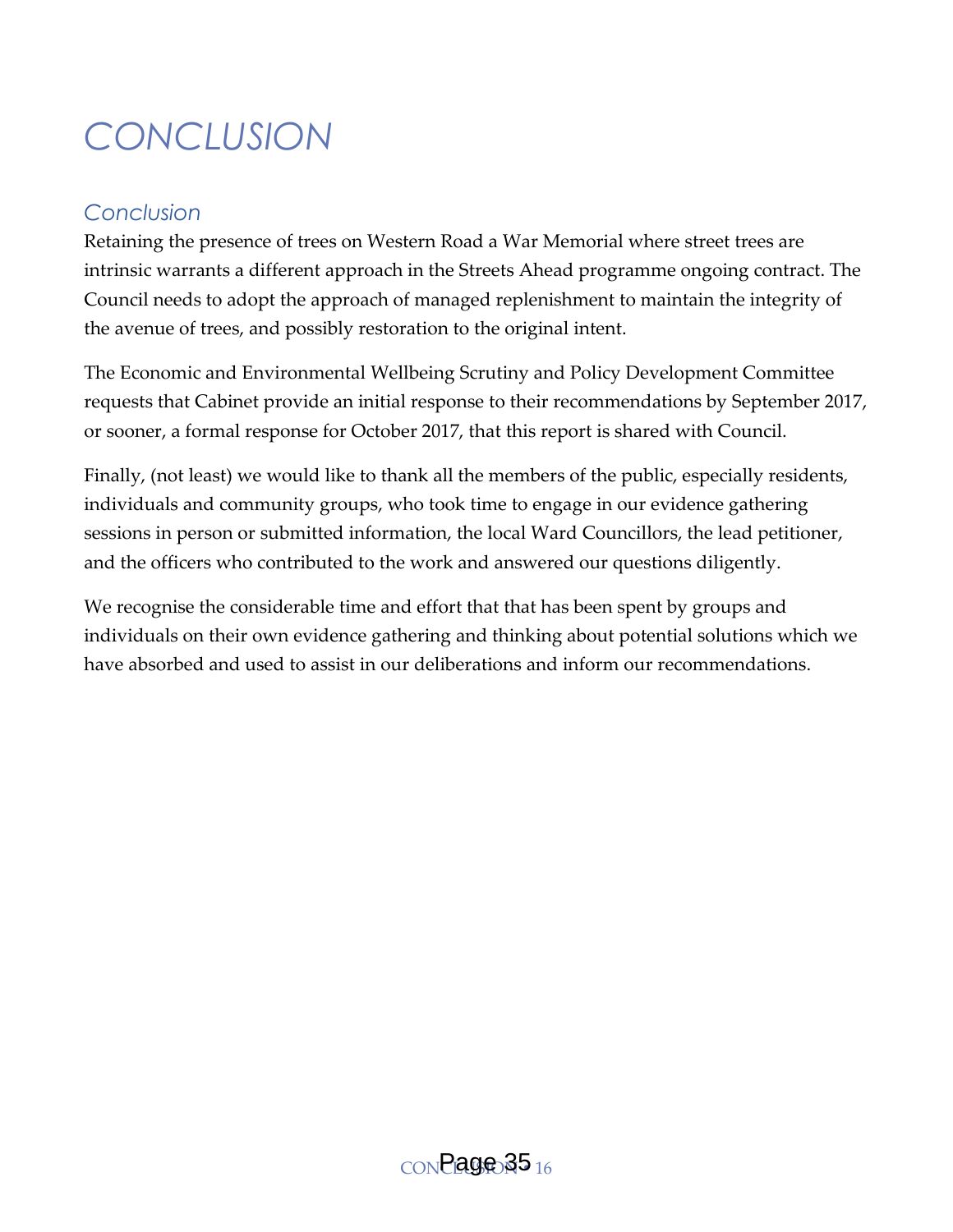# <span id="page-16-0"></span>*CONCLUSION*

#### *Conclusion*

Retaining the presence of trees on Western Road a War Memorial where street trees are intrinsic warrants a different approach in the Streets Ahead programme ongoing contract. The Council needs to adopt the approach of managed replenishment to maintain the integrity of the avenue of trees, and possibly restoration to the original intent.

The Economic and Environmental Wellbeing Scrutiny and Policy Development Committee requests that Cabinet provide an initial response to their recommendations by September 2017, or sooner, a formal response for October 2017, that this report is shared with Council.

Finally, (not least) we would like to thank all the members of the public, especially residents, individuals and community groups, who took time to engage in our evidence gathering sessions in person or submitted information, the local Ward Councillors, the lead petitioner, and the officers who contributed to the work and answered our questions diligently.

We recognise the considerable time and effort that that has been spent by groups and individuals on their own evidence gathering and thinking about potential solutions which we have absorbed and used to assist in our deliberations and inform our recommendations.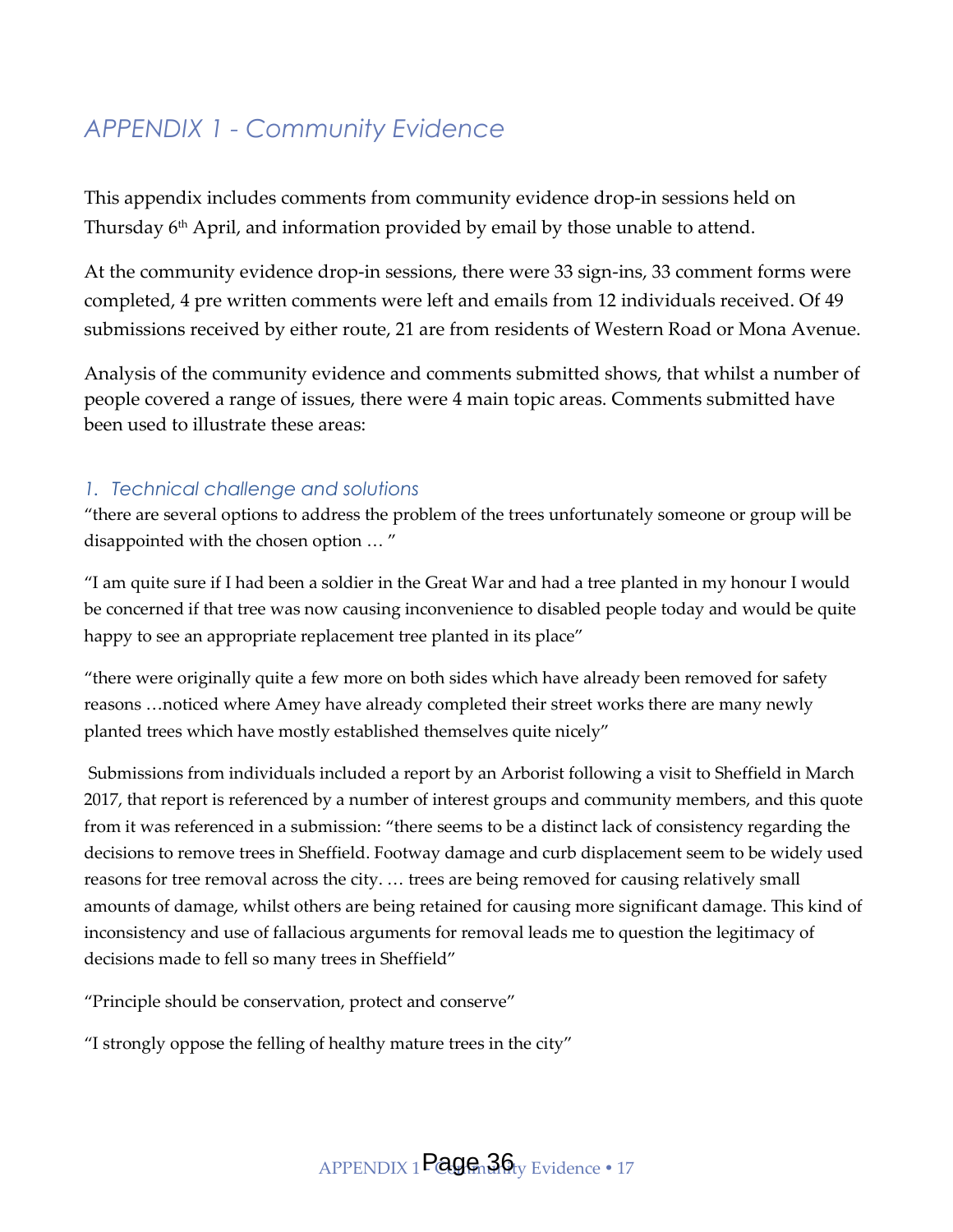#### <span id="page-17-0"></span>*APPENDIX 1 - Community Evidence*

This appendix includes comments from community evidence drop-in sessions held on Thursday 6<sup>th</sup> April, and information provided by email by those unable to attend.

At the community evidence drop-in sessions, there were 33 sign-ins, 33 comment forms were completed, 4 pre written comments were left and emails from 12 individuals received. Of 49 submissions received by either route, 21 are from residents of Western Road or Mona Avenue.

Analysis of the community evidence and comments submitted shows, that whilst a number of people covered a range of issues, there were 4 main topic areas. Comments submitted have been used to illustrate these areas:

#### *1. Technical challenge and solutions*

'there are several options to address the problem of the trees unfortunately someone or group will be disappointed with the chosen option … '

'I am quite sure if I had been a soldier in the Great War and had a tree planted in my honour I would be concerned if that tree was now causing inconvenience to disabled people today and would be quite happy to see an appropriate replacement tree planted in its place"

'there were originally quite a few more on both sides which have already been removed for safety reasons …noticed where Amey have already completed their street works there are many newly planted trees which have mostly established themselves quite nicely'

Submissions from individuals included a report by an Arborist following a visit to Sheffield in March 2017, that report is referenced by a number of interest groups and community members, and this quote from it was referenced in a submission: 'there seems to be a distinct lack of consistency regarding the decisions to remove trees in Sheffield. Footway damage and curb displacement seem to be widely used reasons for tree removal across the city. … trees are being removed for causing relatively small amounts of damage, whilst others are being retained for causing more significant damage. This kind of inconsistency and use of fallacious arguments for removal leads me to question the legitimacy of decisions made to fell so many trees in Sheffield'

'Principle should be conservation, protect and conserve'

'I strongly oppose the felling of healthy mature trees in the city'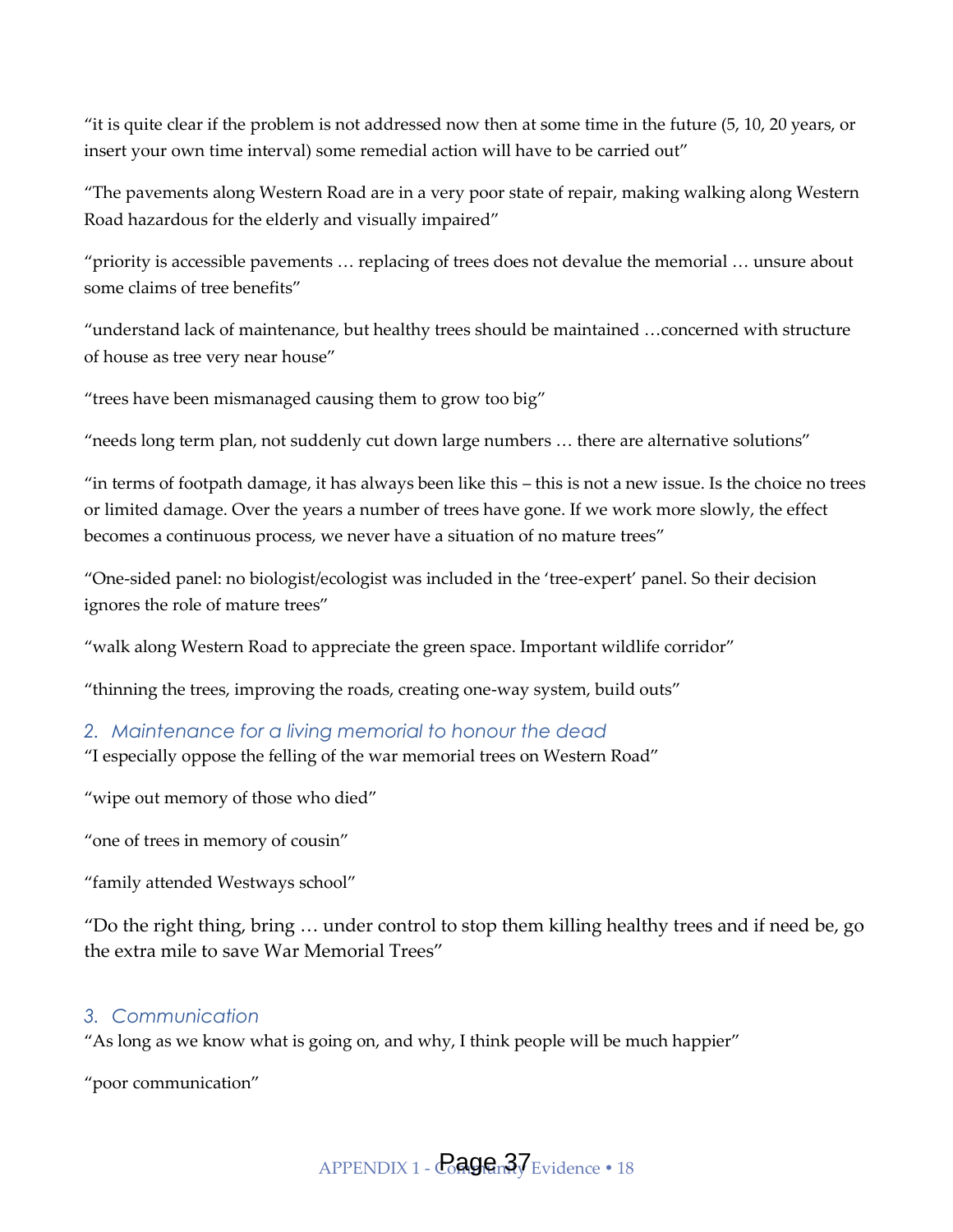'it is quite clear if the problem is not addressed now then at some time in the future (5, 10, 20 years, or insert your own time interval) some remedial action will have to be carried out'

'The pavements along Western Road are in a very poor state of repair, making walking along Western Road hazardous for the elderly and visually impaired'

'priority is accessible pavements … replacing of trees does not devalue the memorial … unsure about some claims of tree benefits'

'understand lack of maintenance, but healthy trees should be maintained …concerned with structure of house as tree very near house'

'trees have been mismanaged causing them to grow too big'

'needs long term plan, not suddenly cut down large numbers … there are alternative solutions'

'in terms of footpath damage, it has always been like this – this is not a new issue. Is the choice no trees or limited damage. Over the years a number of trees have gone. If we work more slowly, the effect becomes a continuous process, we never have a situation of no mature trees'

'One-sided panel: no biologist/ecologist was included in the 'tree-expert' panel. So their decision ignores the role of mature trees'

'walk along Western Road to appreciate the green space. Important wildlife corridor'

'thinning the trees, improving the roads, creating one-way system, build outs'

#### *2. Maintenance for a living memorial to honour the dead*

'I especially oppose the felling of the war memorial trees on Western Road'

'wipe out memory of those who died'

'one of trees in memory of cousin'

'family attended Westways school'

'Do the right thing, bring … under control to stop them killing healthy trees and if need be, go the extra mile to save War Memorial Trees'

#### *3. Communication*

'As long as we know what is going on, and why, I think people will be much happier'

'poor communication'

APPENDIX 1 -  $\overline{\text{CaQ}}$ Gn $3\overline{\text{y}}$ Evidence • 18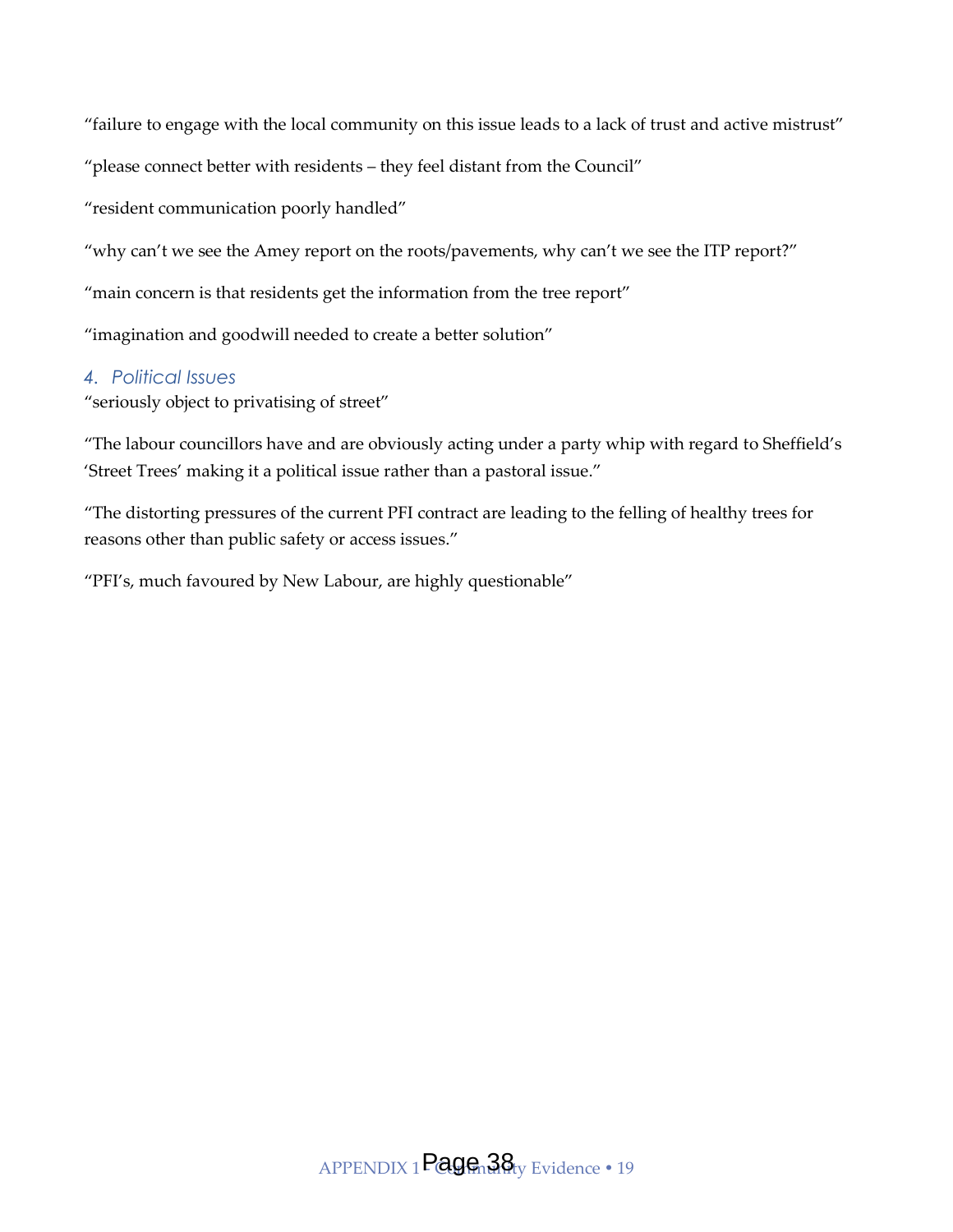'failure to engage with the local community on this issue leads to a lack of trust and active mistrust'

'please connect better with residents – they feel distant from the Council'

'resident communication poorly handled'

"why can't we see the Amey report on the roots/pavements, why can't we see the ITP report?"

'main concern is that residents get the information from the tree report'

'imagination and goodwill needed to create a better solution'

#### *4. Political Issues*

'seriously object to privatising of street'

'The labour councillors have and are obviously acting under a party whip with regard to Sheffield's 'Street Trees' making it a political issue rather than a pastoral issue.'

'The distorting pressures of the current PFI contract are leading to the felling of healthy trees for reasons other than public safety or access issues.'

'PFI's, much favoured by New Labour, are highly questionable'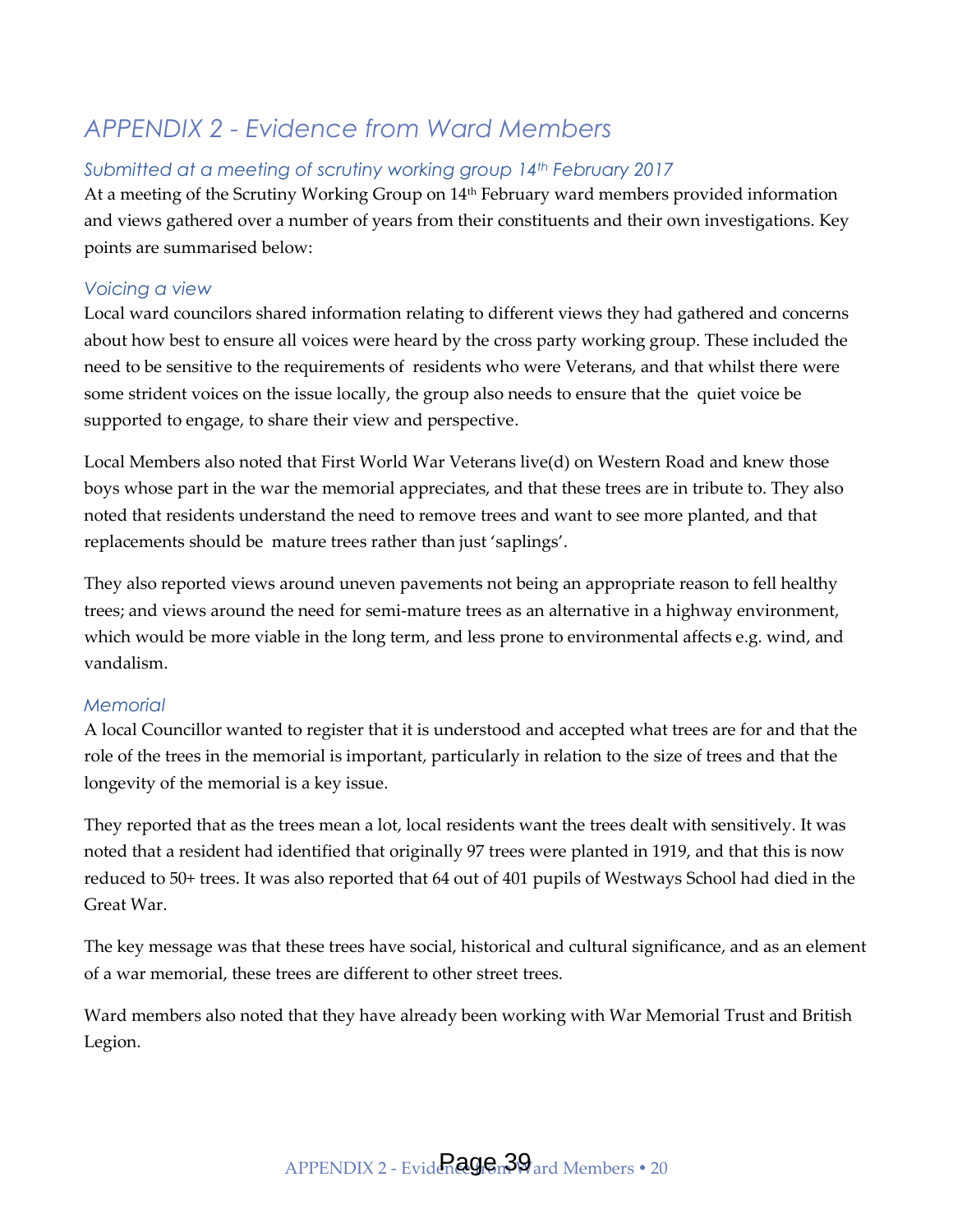#### <span id="page-20-0"></span>*APPENDIX 2 - Evidence from Ward Members*

#### *Submitted at a meeting of scrutiny working group 14th February 2017*

At a meeting of the Scrutiny Working Group on 14<sup>th</sup> February ward members provided information and views gathered over a number of years from their constituents and their own investigations. Key points are summarised below:

#### *Voicing a view*

Local ward councilors shared information relating to different views they had gathered and concerns about how best to ensure all voices were heard by the cross party working group. These included the need to be sensitive to the requirements of residents who were Veterans, and that whilst there were some strident voices on the issue locally, the group also needs to ensure that the quiet voice be supported to engage, to share their view and perspective.

Local Members also noted that First World War Veterans live(d) on Western Road and knew those boys whose part in the war the memorial appreciates, and that these trees are in tribute to. They also noted that residents understand the need to remove trees and want to see more planted, and that replacements should be mature trees rather than just 'saplings'.

They also reported views around uneven pavements not being an appropriate reason to fell healthy trees; and views around the need for semi-mature trees as an alternative in a highway environment, which would be more viable in the long term, and less prone to environmental affects e.g. wind, and vandalism.

#### *Memorial*

A local Councillor wanted to register that it is understood and accepted what trees are for and that the role of the trees in the memorial is important, particularly in relation to the size of trees and that the longevity of the memorial is a key issue.

They reported that as the trees mean a lot, local residents want the trees dealt with sensitively. It was noted that a resident had identified that originally 97 trees were planted in 1919, and that this is now reduced to 50+ trees. It was also reported that 64 out of 401 pupils of Westways School had died in the Great War.

The key message was that these trees have social, historical and cultural significance, and as an element of a war memorial, these trees are different to other street trees.

Ward members also noted that they have already been working with War Memorial Trust and British Legion.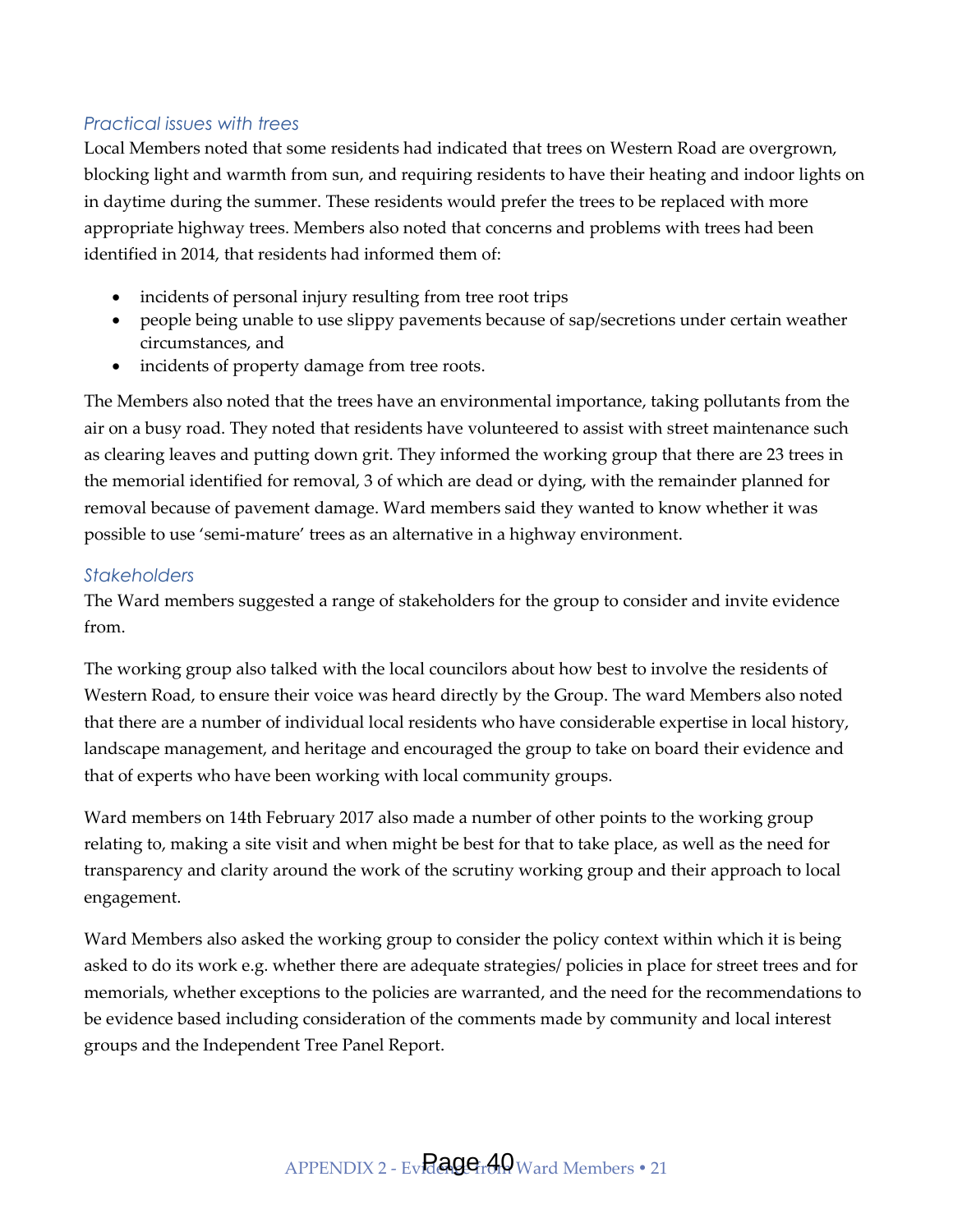#### *Practical issues with trees*

Local Members noted that some residents had indicated that trees on Western Road are overgrown, blocking light and warmth from sun, and requiring residents to have their heating and indoor lights on in daytime during the summer. These residents would prefer the trees to be replaced with more appropriate highway trees. Members also noted that concerns and problems with trees had been identified in 2014, that residents had informed them of:

- incidents of personal injury resulting from tree root trips
- people being unable to use slippy pavements because of sap/secretions under certain weather circumstances, and
- incidents of property damage from tree roots.

The Members also noted that the trees have an environmental importance, taking pollutants from the air on a busy road. They noted that residents have volunteered to assist with street maintenance such as clearing leaves and putting down grit. They informed the working group that there are 23 trees in the memorial identified for removal, 3 of which are dead or dying, with the remainder planned for removal because of pavement damage. Ward members said they wanted to know whether it was possible to use 'semi-mature' trees as an alternative in a highway environment.

#### *Stakeholders*

The Ward members suggested a range of stakeholders for the group to consider and invite evidence from.

The working group also talked with the local councilors about how best to involve the residents of Western Road, to ensure their voice was heard directly by the Group. The ward Members also noted that there are a number of individual local residents who have considerable expertise in local history, landscape management, and heritage and encouraged the group to take on board their evidence and that of experts who have been working with local community groups.

Ward members on 14th February 2017 also made a number of other points to the working group relating to, making a site visit and when might be best for that to take place, as well as the need for transparency and clarity around the work of the scrutiny working group and their approach to local engagement.

Ward Members also asked the working group to consider the policy context within which it is being asked to do its work e.g. whether there are adequate strategies/ policies in place for street trees and for memorials, whether exceptions to the policies are warranted, and the need for the recommendations to be evidence based including consideration of the comments made by community and local interest groups and the Independent Tree Panel Report.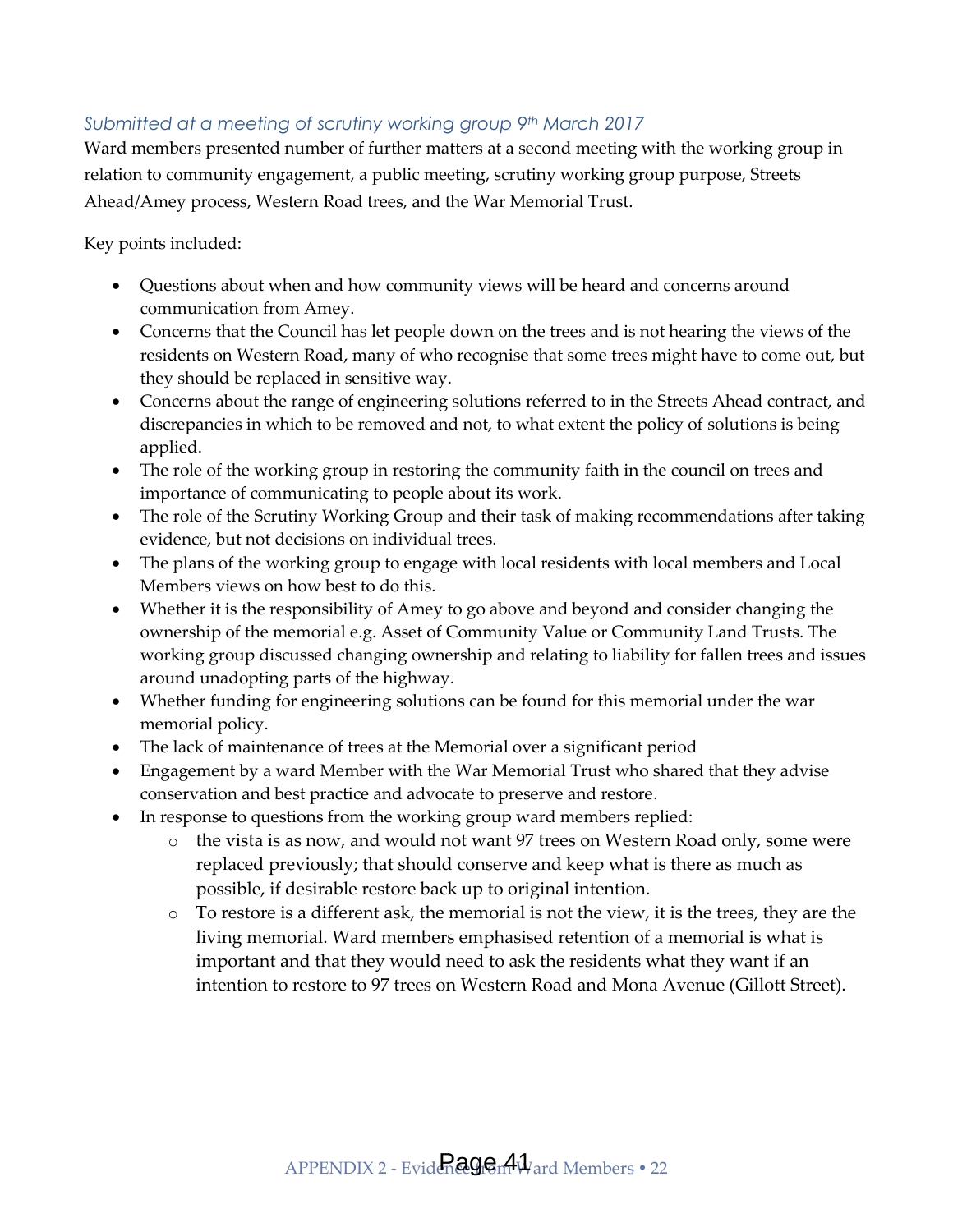#### *Submitted at a meeting of scrutiny working group 9th March 2017*

Ward members presented number of further matters at a second meeting with the working group in relation to community engagement, a public meeting, scrutiny working group purpose, Streets Ahead/Amey process, Western Road trees, and the War Memorial Trust.

Key points included:

- Questions about when and how community views will be heard and concerns around communication from Amey.
- Concerns that the Council has let people down on the trees and is not hearing the views of the residents on Western Road, many of who recognise that some trees might have to come out, but they should be replaced in sensitive way.
- Concerns about the range of engineering solutions referred to in the Streets Ahead contract, and discrepancies in which to be removed and not, to what extent the policy of solutions is being applied.
- The role of the working group in restoring the community faith in the council on trees and importance of communicating to people about its work.
- The role of the Scrutiny Working Group and their task of making recommendations after taking evidence, but not decisions on individual trees.
- The plans of the working group to engage with local residents with local members and Local Members views on how best to do this.
- Whether it is the responsibility of Amey to go above and beyond and consider changing the ownership of the memorial e.g. Asset of Community Value or Community Land Trusts. The working group discussed changing ownership and relating to liability for fallen trees and issues around unadopting parts of the highway.
- Whether funding for engineering solutions can be found for this memorial under the war memorial policy.
- The lack of maintenance of trees at the Memorial over a significant period
- Engagement by a ward Member with the War Memorial Trust who shared that they advise conservation and best practice and advocate to preserve and restore.
- In response to questions from the working group ward members replied:
	- o the vista is as now, and would not want 97 trees on Western Road only, some were replaced previously; that should conserve and keep what is there as much as possible, if desirable restore back up to original intention.
	- $\circ$  To restore is a different ask, the memorial is not the view, it is the trees, they are the living memorial. Ward members emphasised retention of a memorial is what is important and that they would need to ask the residents what they want if an intention to restore to 97 trees on Western Road and Mona Avenue (Gillott Street).